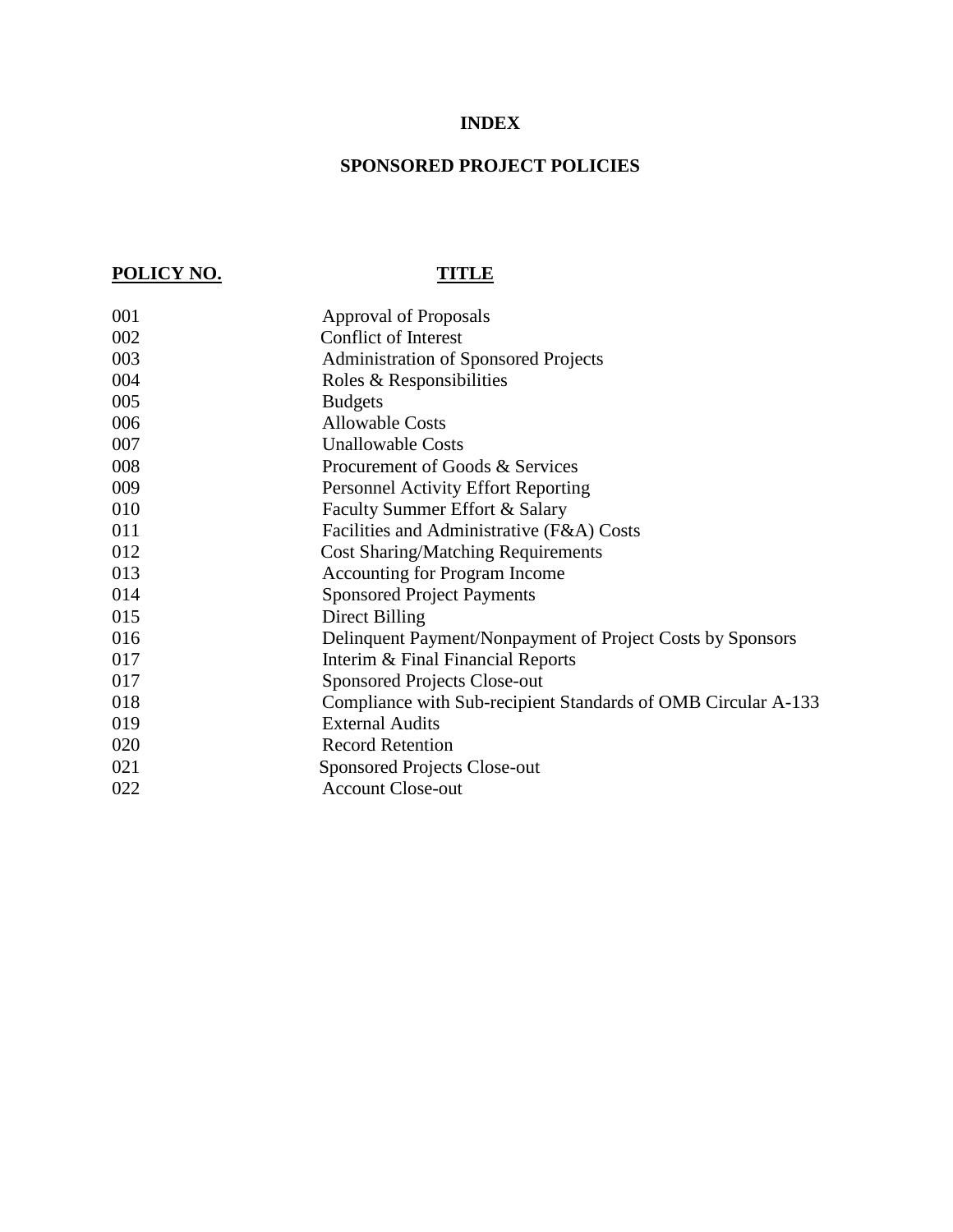# **INDEX**

# **SPONSORED PROJECT POLICIES**

# **POLICY NO. TITLE**

| 001 | <b>Approval of Proposals</b>                                  |
|-----|---------------------------------------------------------------|
| 002 | <b>Conflict of Interest</b>                                   |
| 003 | <b>Administration of Sponsored Projects</b>                   |
| 004 | Roles & Responsibilities                                      |
| 005 | <b>Budgets</b>                                                |
| 006 | <b>Allowable Costs</b>                                        |
| 007 | <b>Unallowable Costs</b>                                      |
| 008 | Procurement of Goods & Services                               |
| 009 | <b>Personnel Activity Effort Reporting</b>                    |
| 010 | Faculty Summer Effort & Salary                                |
| 011 | Facilities and Administrative (F&A) Costs                     |
| 012 | <b>Cost Sharing/Matching Requirements</b>                     |
| 013 | <b>Accounting for Program Income</b>                          |
| 014 | <b>Sponsored Project Payments</b>                             |
| 015 | Direct Billing                                                |
| 016 | Delinquent Payment/Nonpayment of Project Costs by Sponsors    |
| 017 | Interim & Final Financial Reports                             |
| 017 | <b>Sponsored Projects Close-out</b>                           |
| 018 | Compliance with Sub-recipient Standards of OMB Circular A-133 |
| 019 | <b>External Audits</b>                                        |
| 020 | <b>Record Retention</b>                                       |
| 021 | <b>Sponsored Projects Close-out</b>                           |
| 022 | <b>Account Close-out</b>                                      |
|     |                                                               |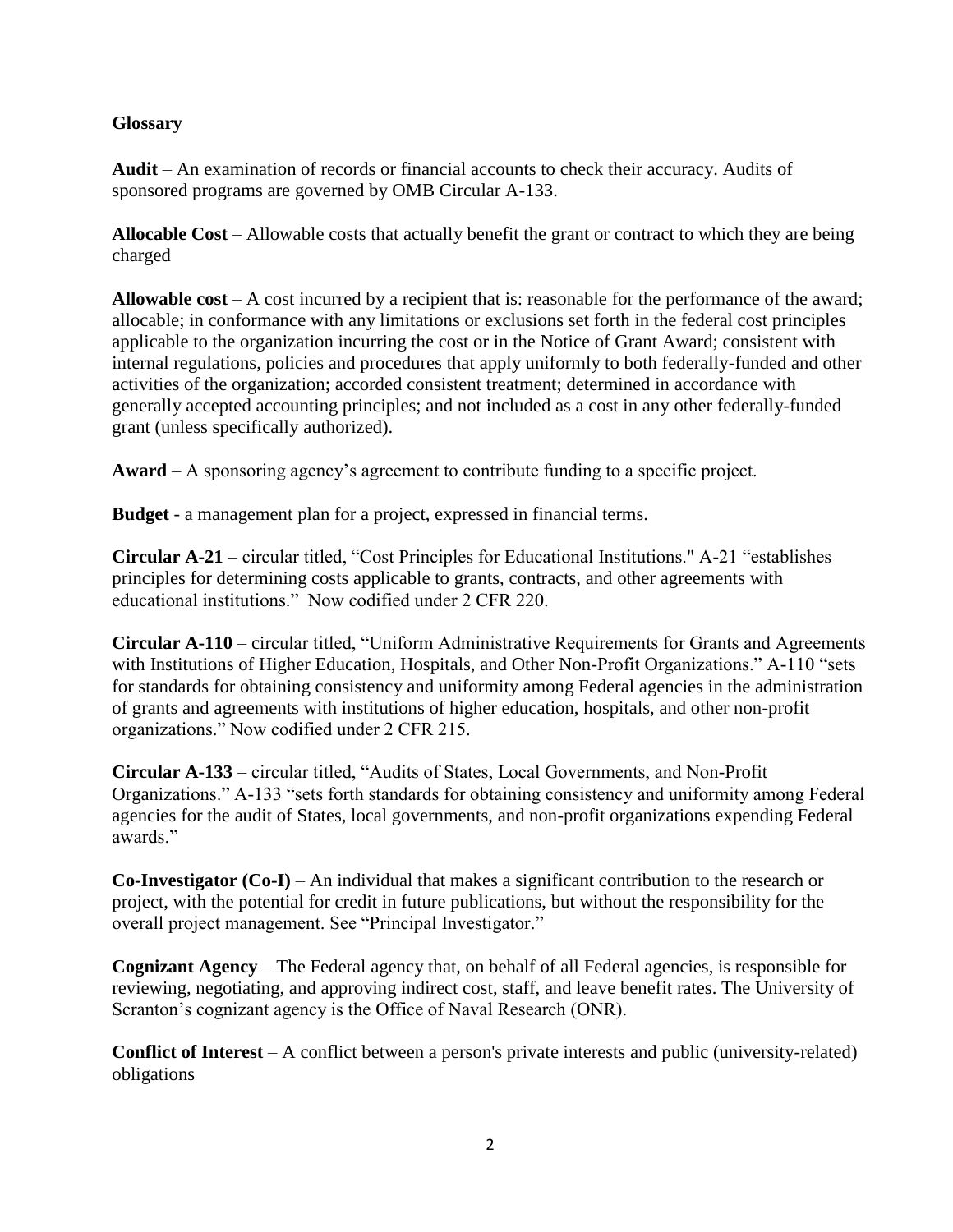# **Glossary**

**Audit** – An examination of records or financial accounts to check their accuracy. Audits of sponsored programs are governed by OMB Circular A-133.

**Allocable Cost** – Allowable costs that actually benefit the grant or contract to which they are being charged

**Allowable cost** – A cost incurred by a recipient that is: reasonable for the performance of the award; allocable; in conformance with any limitations or exclusions set forth in the federal cost principles applicable to the organization incurring the cost or in the Notice of Grant Award; consistent with internal regulations, policies and procedures that apply uniformly to both federally-funded and other activities of the organization; accorded consistent treatment; determined in accordance with generally accepted accounting principles; and not included as a cost in any other federally-funded grant (unless specifically authorized).

**Award** – A sponsoring agency's agreement to contribute funding to a specific project.

**Budget** - a management plan for a project, expressed in financial terms.

**Circular A-21** – circular titled, "Cost Principles for Educational Institutions." A-21 "establishes principles for determining costs applicable to grants, contracts, and other agreements with educational institutions." Now codified under 2 CFR 220.

**Circular A-110** – circular titled, "Uniform Administrative Requirements for Grants and Agreements with Institutions of Higher Education, Hospitals, and Other Non-Profit Organizations." A-110 "sets for standards for obtaining consistency and uniformity among Federal agencies in the administration of grants and agreements with institutions of higher education, hospitals, and other non-profit organizations." Now codified under 2 CFR 215.

**Circular A-133** – circular titled, "Audits of States, Local Governments, and Non-Profit Organizations." A-133 "sets forth standards for obtaining consistency and uniformity among Federal agencies for the audit of States, local governments, and non-profit organizations expending Federal awards."

**Co-Investigator (Co-I)** – An individual that makes a significant contribution to the research or project, with the potential for credit in future publications, but without the responsibility for the overall project management. See "Principal Investigator."

**Cognizant Agency** – The Federal agency that, on behalf of all Federal agencies, is responsible for reviewing, negotiating, and approving indirect cost, staff, and leave benefit rates. The University of Scranton's cognizant agency is the Office of Naval Research (ONR).

**Conflict of Interest** – A conflict between a person's private interests and public (university-related) obligations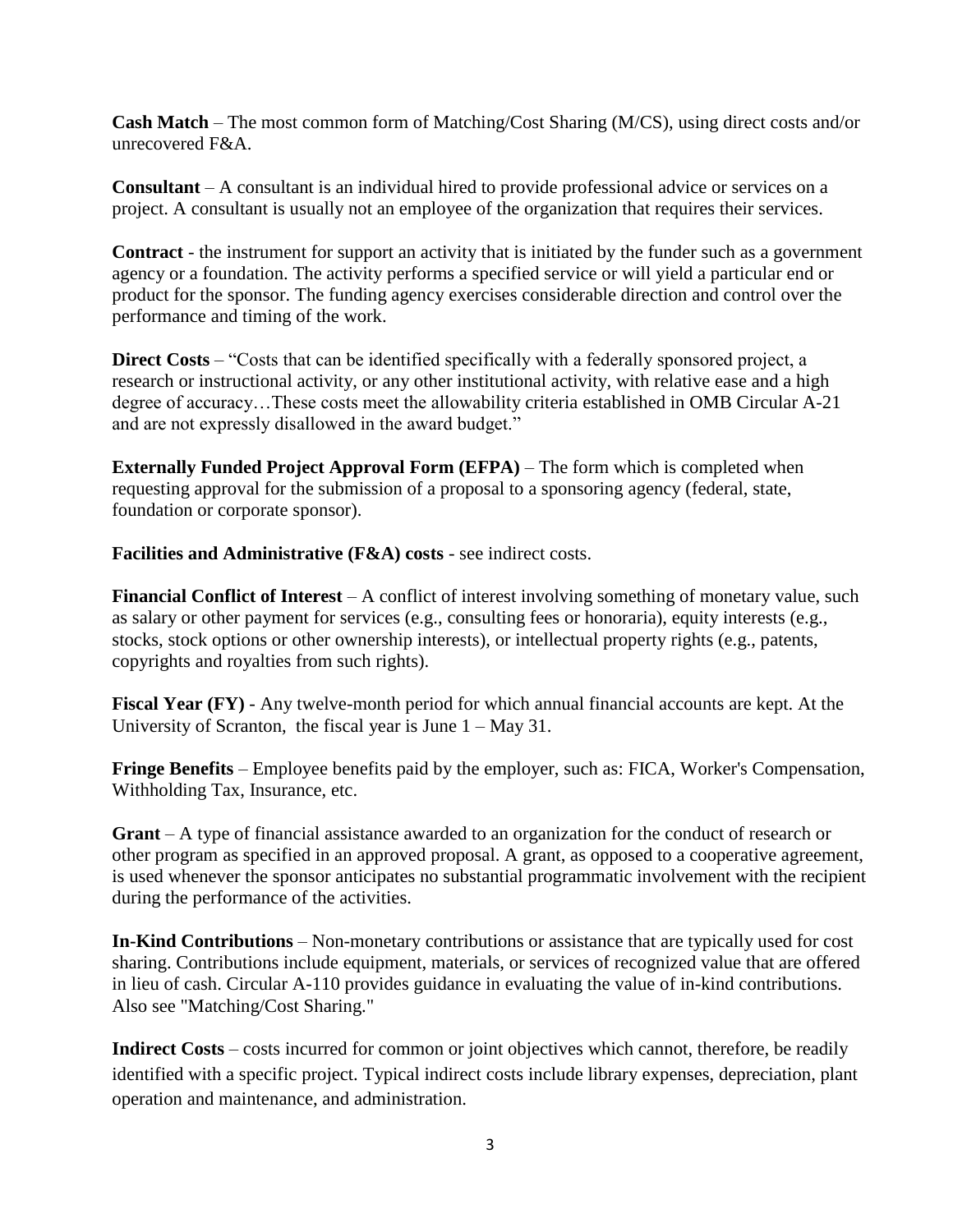**Cash Match** – The most common form of Matching/Cost Sharing (M/CS), using direct costs and/or unrecovered F&A.

**Consultant** – A consultant is an individual hired to provide professional advice or services on a project. A consultant is usually not an employee of the organization that requires their services.

**Contract** - the instrument for support an activity that is initiated by the funder such as a government agency or a foundation. The activity performs a specified service or will yield a particular end or product for the sponsor. The funding agency exercises considerable direction and control over the performance and timing of the work.

**Direct Costs** – "Costs that can be identified specifically with a federally sponsored project, a research or instructional activity, or any other institutional activity, with relative ease and a high degree of accuracy…These costs meet the allowability criteria established in OMB Circular A-21 and are not expressly disallowed in the award budget."

**Externally Funded Project Approval Form (EFPA)** – The form which is completed when requesting approval for the submission of a proposal to a sponsoring agency (federal, state, foundation or corporate sponsor).

**Facilities and Administrative (F&A) costs** - see indirect costs.

**Financial Conflict of Interest** – A conflict of interest involving something of monetary value, such as salary or other payment for services (e.g., consulting fees or honoraria), equity interests (e.g., stocks, stock options or other ownership interests), or intellectual property rights (e.g., patents, copyrights and royalties from such rights).

**Fiscal Year (FY)** - Any twelve-month period for which annual financial accounts are kept. At the University of Scranton, the fiscal year is June 1 – May 31.

**Fringe Benefits** – Employee benefits paid by the employer, such as: FICA, Worker's Compensation, Withholding Tax, Insurance, etc.

**Grant** – A type of financial assistance awarded to an organization for the conduct of research or other program as specified in an approved proposal. A grant, as opposed to a cooperative agreement, is used whenever the sponsor anticipates no substantial programmatic involvement with the recipient during the performance of the activities.

**In-Kind Contributions** – Non-monetary contributions or assistance that are typically used for cost sharing. Contributions include equipment, materials, or services of recognized value that are offered in lieu of cash. Circular A-110 provides guidance in evaluating the value of in-kind contributions. Also see "Matching/Cost Sharing."

**Indirect Costs** – costs incurred for common or joint objectives which cannot, therefore, be readily identified with a specific project. Typical indirect costs include library expenses, depreciation, plant operation and maintenance, and administration.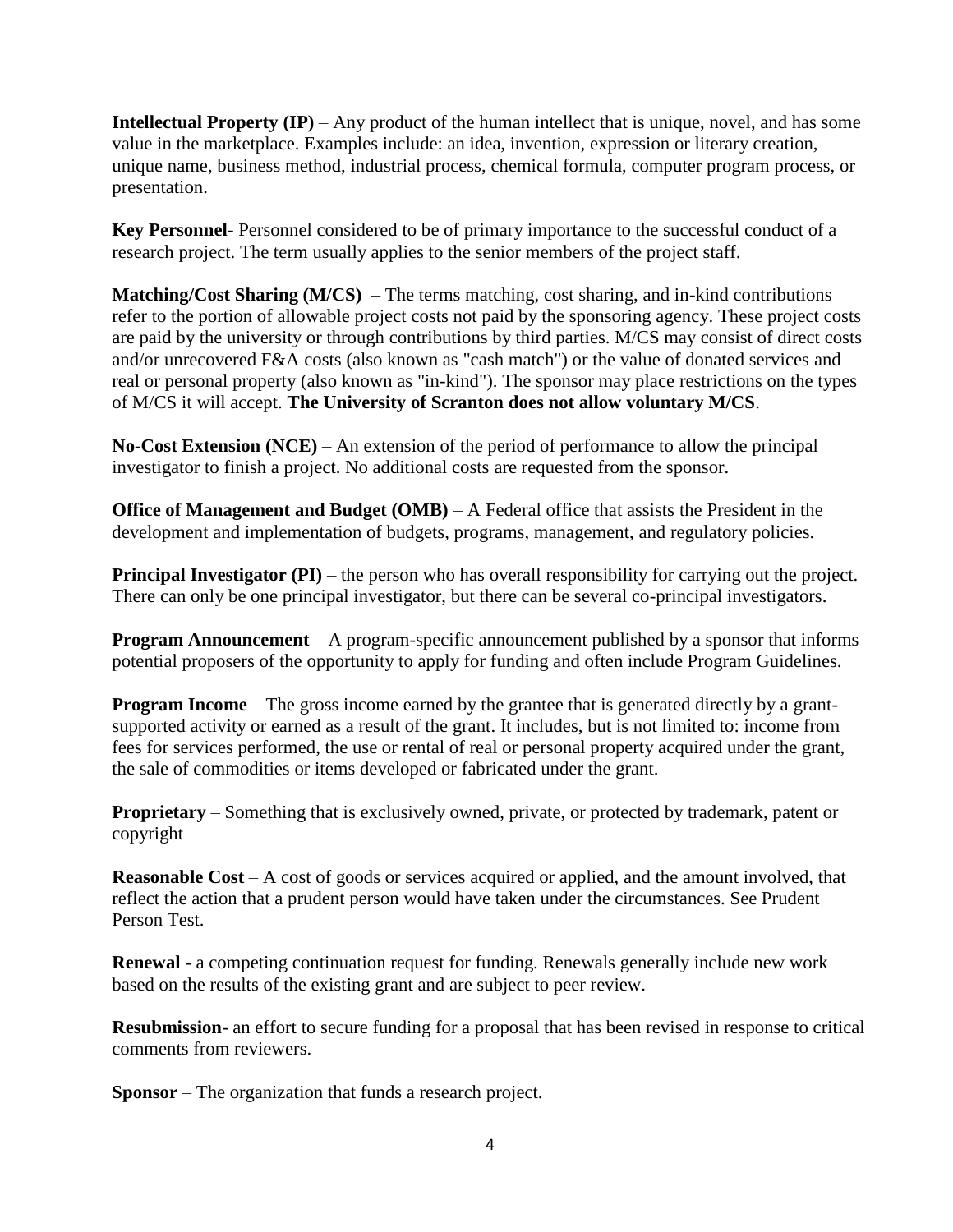**Intellectual Property** (IP) – Any product of the human intellect that is unique, novel, and has some value in the marketplace. Examples include: an idea, invention, expression or literary creation, unique name, business method, industrial process, chemical formula, computer program process, or presentation.

**Key Personnel**- Personnel considered to be of primary importance to the successful conduct of a research project. The term usually applies to the senior members of the project staff.

**Matching/Cost Sharing (M/CS)** – The terms matching, cost sharing, and in-kind contributions refer to the portion of allowable project costs not paid by the sponsoring agency. These project costs are paid by the university or through contributions by third parties. M/CS may consist of direct costs and/or unrecovered F&A costs (also known as "cash match") or the value of donated services and real or personal property (also known as "in-kind"). The sponsor may place restrictions on the types of M/CS it will accept. **The University of Scranton does not allow voluntary M/CS**.

**No-Cost Extension (NCE)** – An extension of the period of performance to allow the principal investigator to finish a project. No additional costs are requested from the sponsor.

**Office of Management and Budget (OMB)** – A Federal office that assists the President in the development and implementation of budgets, programs, management, and regulatory policies.

**Principal Investigator (PI)** – the person who has overall responsibility for carrying out the project. There can only be one principal investigator, but there can be several co-principal investigators.

**Program Announcement** – A program-specific announcement published by a sponsor that informs potential proposers of the opportunity to apply for funding and often include Program Guidelines.

**Program Income** – The gross income earned by the grantee that is generated directly by a grantsupported activity or earned as a result of the grant. It includes, but is not limited to: income from fees for services performed, the use or rental of real or personal property acquired under the grant, the sale of commodities or items developed or fabricated under the grant.

**Proprietary** – Something that is exclusively owned, private, or protected by trademark, patent or copyright

**Reasonable Cost** – A cost of goods or services acquired or applied, and the amount involved, that reflect the action that a prudent person would have taken under the circumstances. See Prudent Person Test.

**Renewal** - a competing continuation request for funding. Renewals generally include new work based on the results of the existing grant and are subject to peer review.

**Resubmission**- an effort to secure funding for a proposal that has been revised in response to critical comments from reviewers.

**Sponsor** – The organization that funds a research project.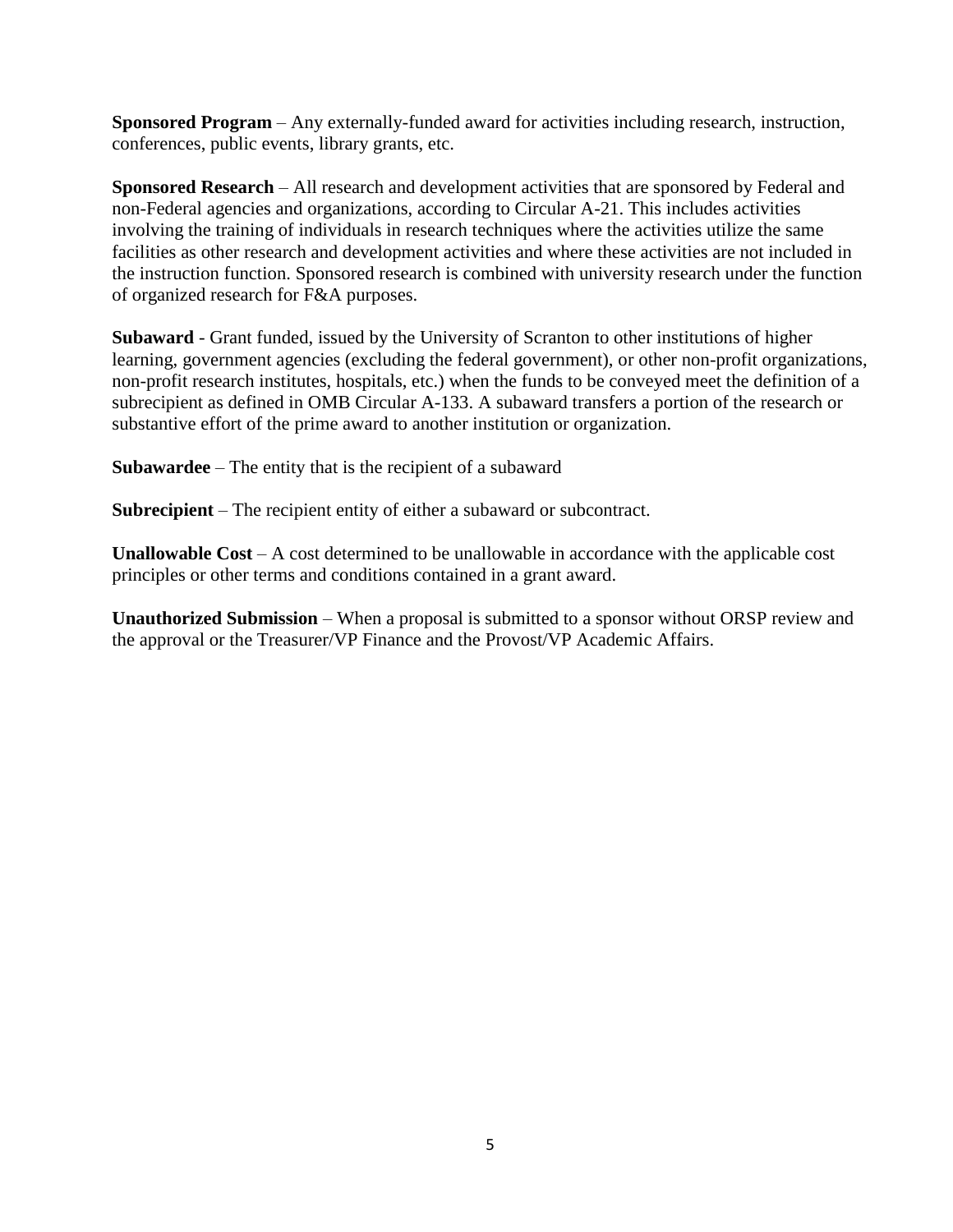**Sponsored Program** – Any externally-funded award for activities including research, instruction, conferences, public events, library grants, etc.

**Sponsored Research** – All research and development activities that are sponsored by Federal and non-Federal agencies and organizations, according to Circular A-21. This includes activities involving the training of individuals in research techniques where the activities utilize the same facilities as other research and development activities and where these activities are not included in the instruction function. Sponsored research is combined with university research under the function of organized research for F&A purposes.

**Subaward** - Grant funded, issued by the University of Scranton to other institutions of higher learning, government agencies (excluding the federal government), or other non-profit organizations, non-profit research institutes, hospitals, etc.) when the funds to be conveyed meet the definition of a subrecipient as defined in OMB Circular A-133. A subaward transfers a portion of the research or substantive effort of the prime award to another institution or organization.

**Subawardee** – The entity that is the recipient of a subaward

**Subrecipient** – The recipient entity of either a subaward or subcontract.

**Unallowable Cost** – A cost determined to be unallowable in accordance with the applicable cost principles or other terms and conditions contained in a grant award.

**Unauthorized Submission** – When a proposal is submitted to a sponsor without ORSP review and the approval or the Treasurer/VP Finance and the Provost/VP Academic Affairs.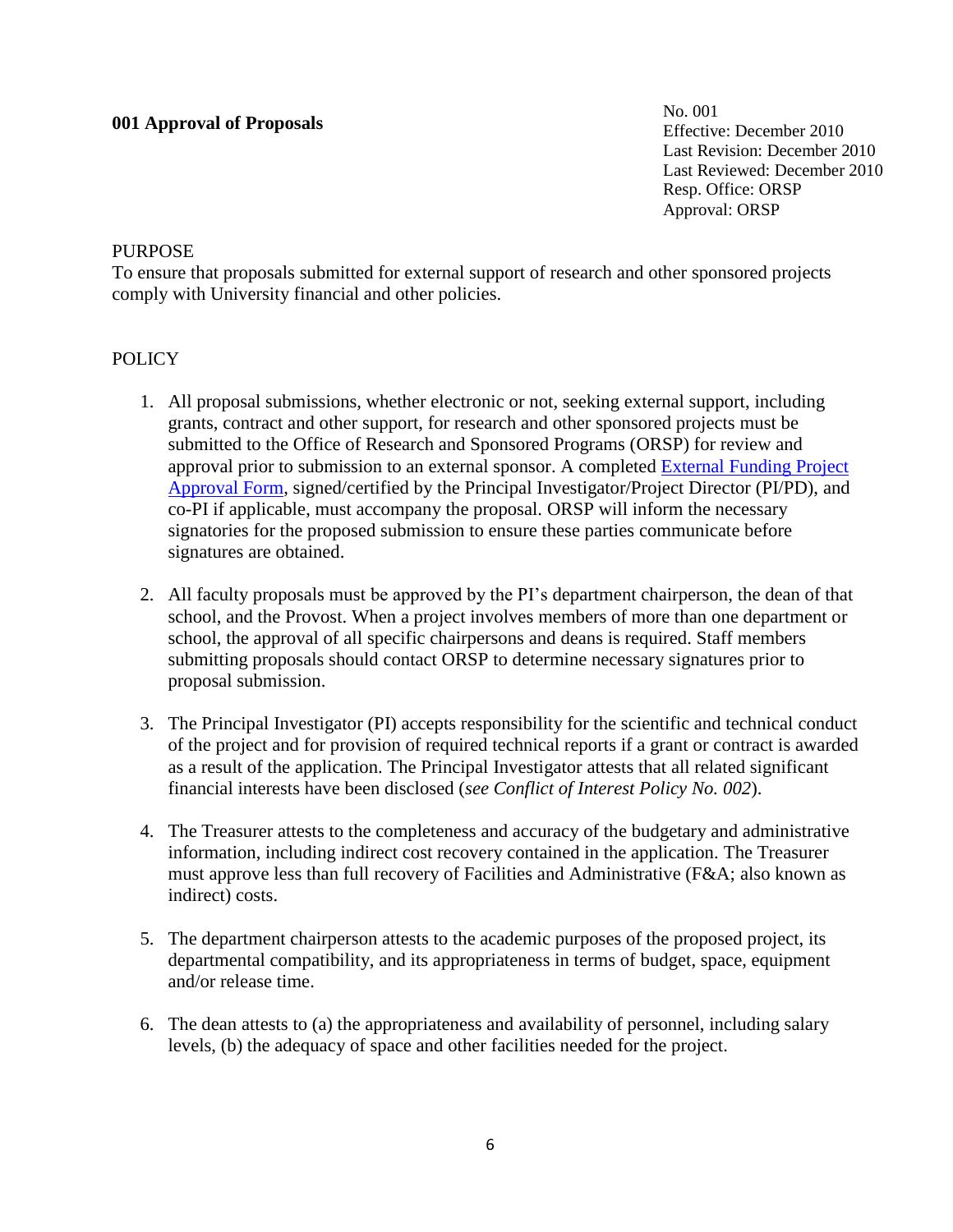### **001 Approval of Proposals**

No. 001 Effective: December 2010 Last Revision: December 2010 Last Reviewed: December 2010 Resp. Office: ORSP Approval: ORSP

#### **PURPOSE**

To ensure that proposals submitted for external support of research and other sponsored projects comply with University financial and other policies.

# **POLICY**

- 1. All proposal submissions, whether electronic or not, seeking external support, including grants, contract and other support, for research and other sponsored projects must be submitted to the Office of Research and Sponsored Programs (ORSP) for review and approval prior to submission to an external sponsor. A completed [External Funding Project](file:///C:/Documents%20and%20Settings/MillerT4/Desktop/EFPA,%20Budget/EFPA(WORD).doc)  [Approval Form,](file:///C:/Documents%20and%20Settings/MillerT4/Desktop/EFPA,%20Budget/EFPA(WORD).doc) signed/certified by the Principal Investigator/Project Director (PI/PD), and co-PI if applicable, must accompany the proposal. ORSP will inform the necessary signatories for the proposed submission to ensure these parties communicate before signatures are obtained.
- 2. All faculty proposals must be approved by the PI's department chairperson, the dean of that school, and the Provost. When a project involves members of more than one department or school, the approval of all specific chairpersons and deans is required. Staff members submitting proposals should contact ORSP to determine necessary signatures prior to proposal submission.
- 3. The Principal Investigator (PI) accepts responsibility for the scientific and technical conduct of the project and for provision of required technical reports if a grant or contract is awarded as a result of the application. The Principal Investigator attests that all related significant financial interests have been disclosed (*see Conflict of Interest Policy No. 002*).
- 4. The Treasurer attests to the completeness and accuracy of the budgetary and administrative information, including indirect cost recovery contained in the application. The Treasurer must approve less than full recovery of Facilities and Administrative (F&A; also known as indirect) costs.
- 5. The department chairperson attests to the academic purposes of the proposed project, its departmental compatibility, and its appropriateness in terms of budget, space, equipment and/or release time.
- 6. The dean attests to (a) the appropriateness and availability of personnel, including salary levels, (b) the adequacy of space and other facilities needed for the project.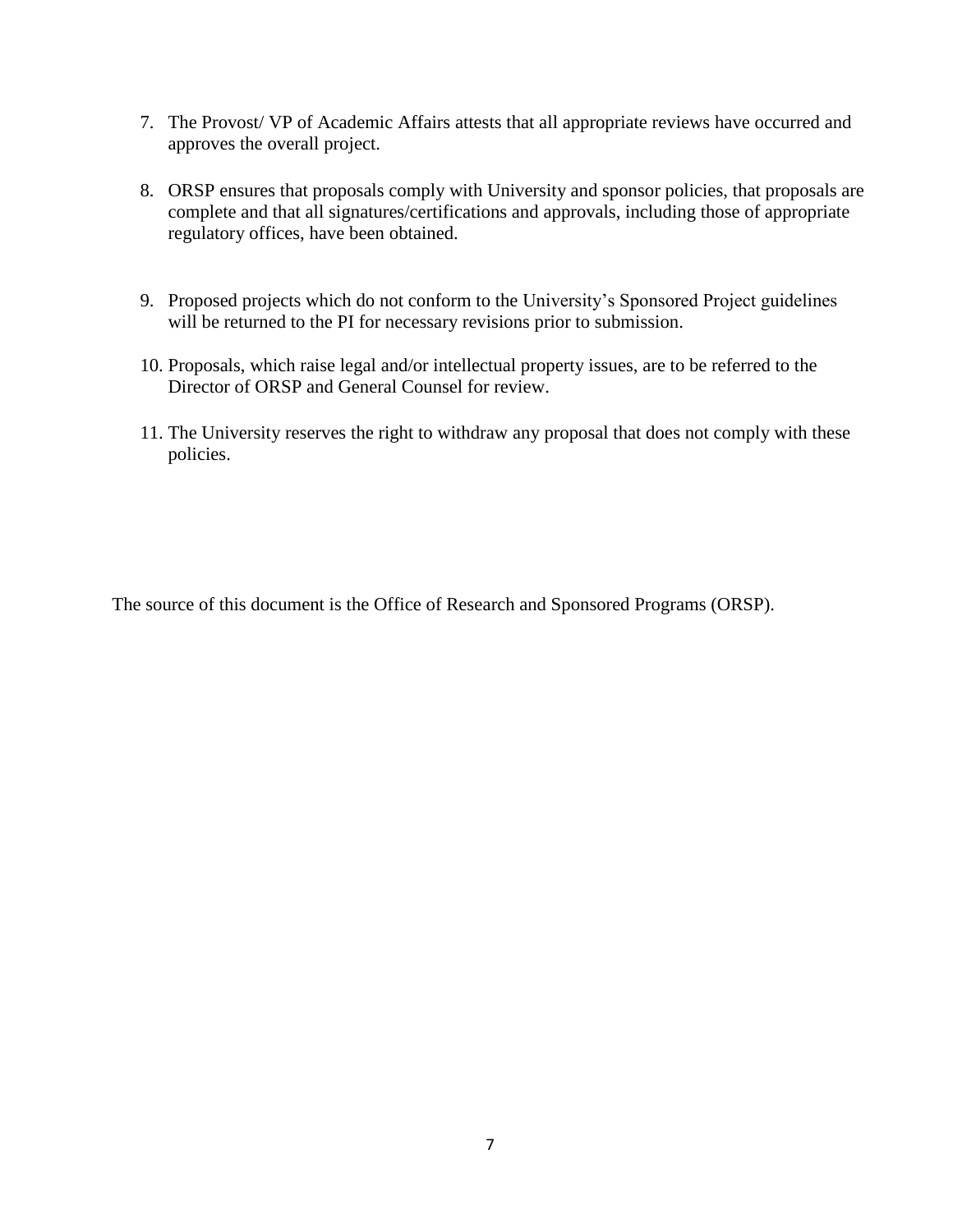- 7. The Provost/ VP of Academic Affairs attests that all appropriate reviews have occurred and approves the overall project.
- 8. ORSP ensures that proposals comply with University and sponsor policies, that proposals are complete and that all signatures/certifications and approvals, including those of appropriate regulatory offices, have been obtained.
- 9. Proposed projects which do not conform to the University's Sponsored Project guidelines will be returned to the PI for necessary revisions prior to submission.
- 10. Proposals, which raise legal and/or intellectual property issues, are to be referred to the Director of ORSP and General Counsel for review.
- 11. The University reserves the right to withdraw any proposal that does not comply with these policies.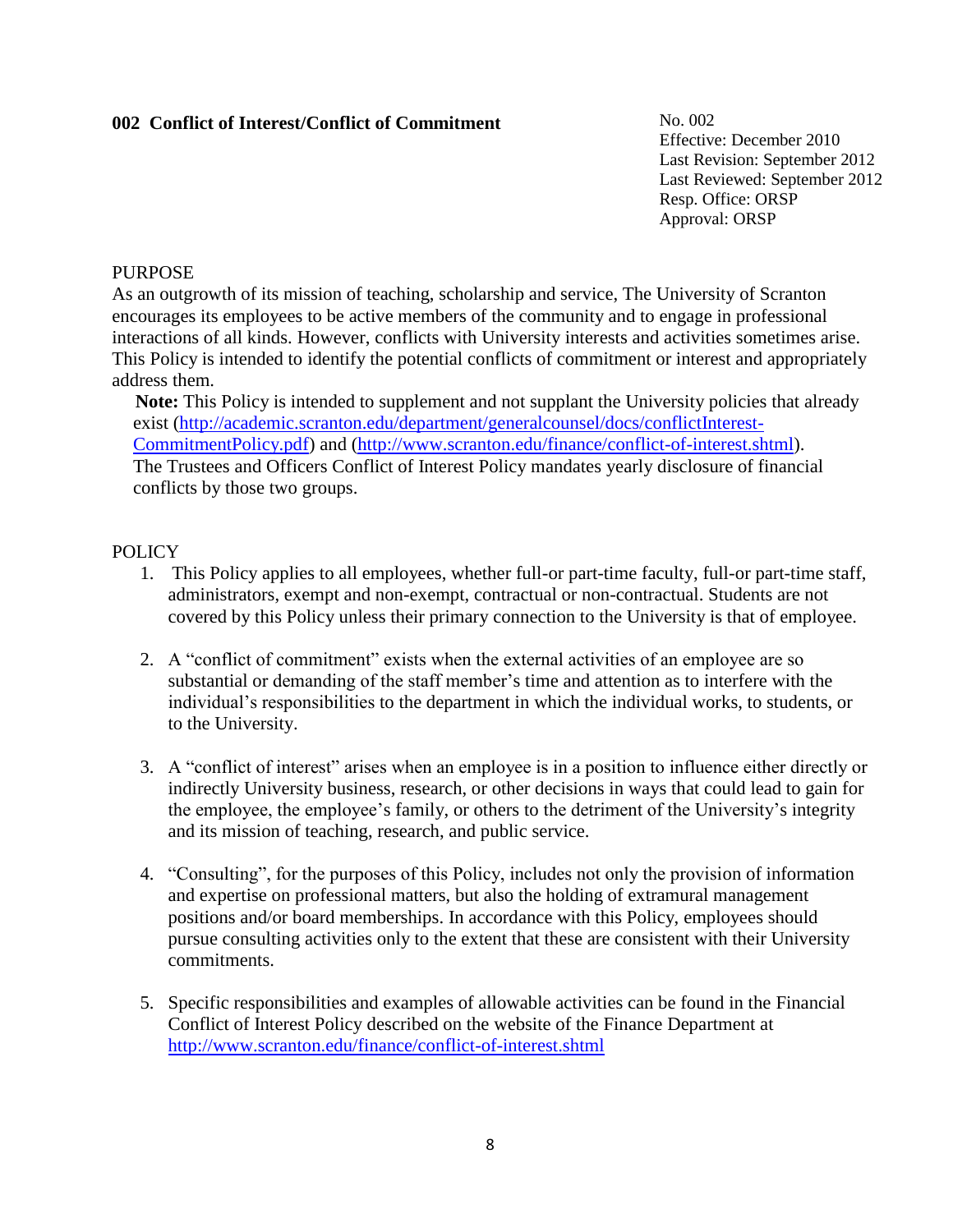# **002 Conflict of Interest/Conflict of Commitment**

No. 002 Effective: December 2010 Last Revision: September 2012 Last Reviewed: September 2012 Resp. Office: ORSP Approval: ORSP

# PURPOSE

As an outgrowth of its mission of teaching, scholarship and service, The University of Scranton encourages its employees to be active members of the community and to engage in professional interactions of all kinds. However, conflicts with University interests and activities sometimes arise. This Policy is intended to identify the potential conflicts of commitment or interest and appropriately address them.

Note: This Policy is intended to supplement and not supplant the University policies that already exist [\(http://academic.scranton.edu/department/generalcounsel/docs/conflictInterest-](http://academic.scranton.edu/department/generalcounsel/docs/conflictInterest-CommitmentPolicy.pdf)[CommitmentPolicy.pdf\)](http://academic.scranton.edu/department/generalcounsel/docs/conflictInterest-CommitmentPolicy.pdf) and [\(http://www.scranton.edu/finance/conflict-of-interest.shtml\)](http://www.scranton.edu/finance/conflict-of-interest.shtml). The Trustees and Officers Conflict of Interest Policy mandates yearly disclosure of financial conflicts by those two groups.

# POLICY

- 1. This Policy applies to all employees, whether full-or part-time faculty, full-or part-time staff, administrators, exempt and non-exempt, contractual or non-contractual. Students are not covered by this Policy unless their primary connection to the University is that of employee.
- 2. A "conflict of commitment" exists when the external activities of an employee are so substantial or demanding of the staff member's time and attention as to interfere with the individual's responsibilities to the department in which the individual works, to students, or to the University.
- 3. A "conflict of interest" arises when an employee is in a position to influence either directly or indirectly University business, research, or other decisions in ways that could lead to gain for the employee, the employee's family, or others to the detriment of the University's integrity and its mission of teaching, research, and public service.
- 4. "Consulting", for the purposes of this Policy, includes not only the provision of information and expertise on professional matters, but also the holding of extramural management positions and/or board memberships. In accordance with this Policy, employees should pursue consulting activities only to the extent that these are consistent with their University commitments.
- 5. Specific responsibilities and examples of allowable activities can be found in the Financial Conflict of Interest Policy described on the website of the Finance Department at <http://www.scranton.edu/finance/conflict-of-interest.shtml>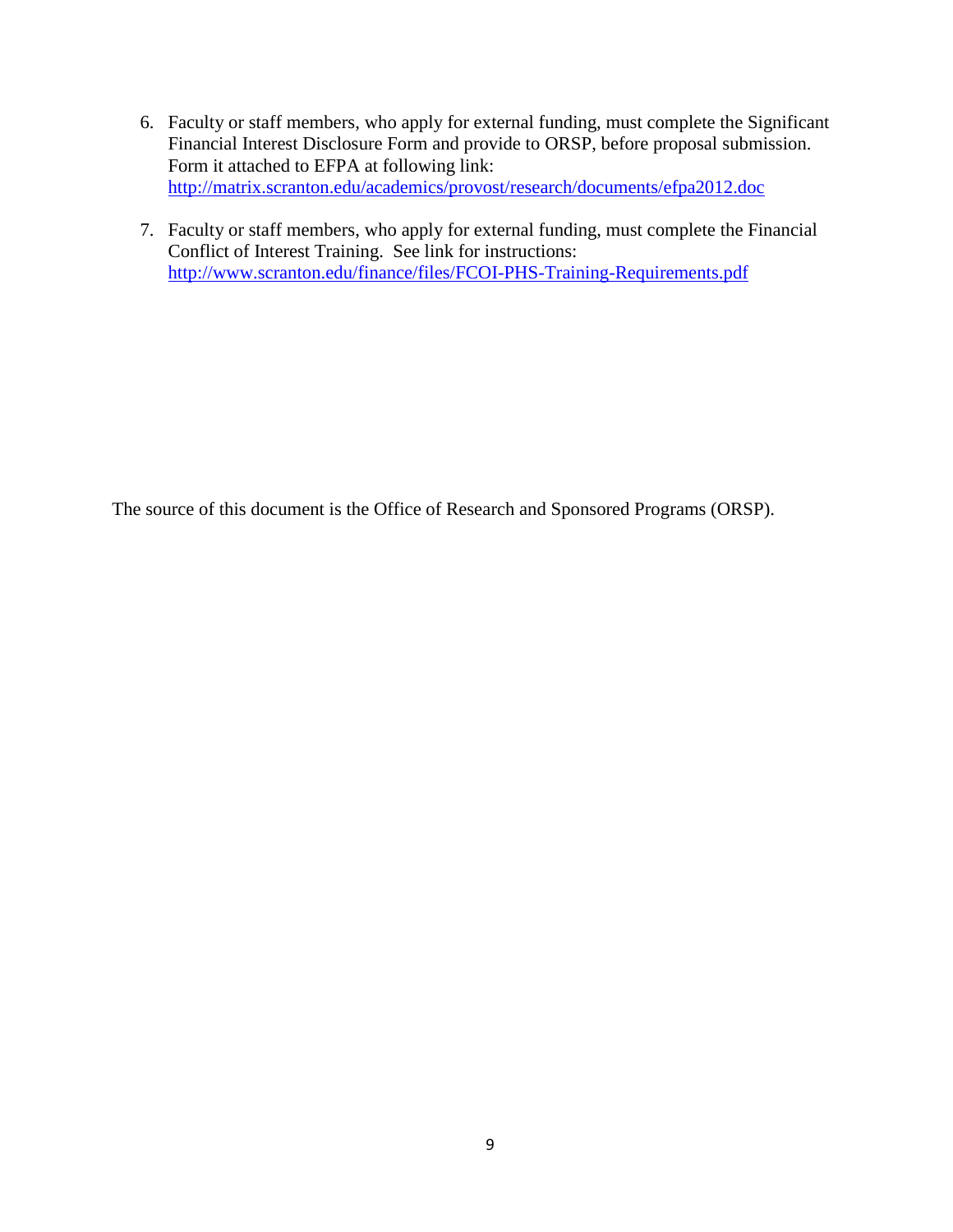- 6. Faculty or staff members, who apply for external funding, must complete the Significant Financial Interest Disclosure Form and provide to ORSP, before proposal submission. Form it attached to EFPA at following link: <http://matrix.scranton.edu/academics/provost/research/documents/efpa2012.doc>
- 7. Faculty or staff members, who apply for external funding, must complete the Financial Conflict of Interest Training. See link for instructions: <http://www.scranton.edu/finance/files/FCOI-PHS-Training-Requirements.pdf>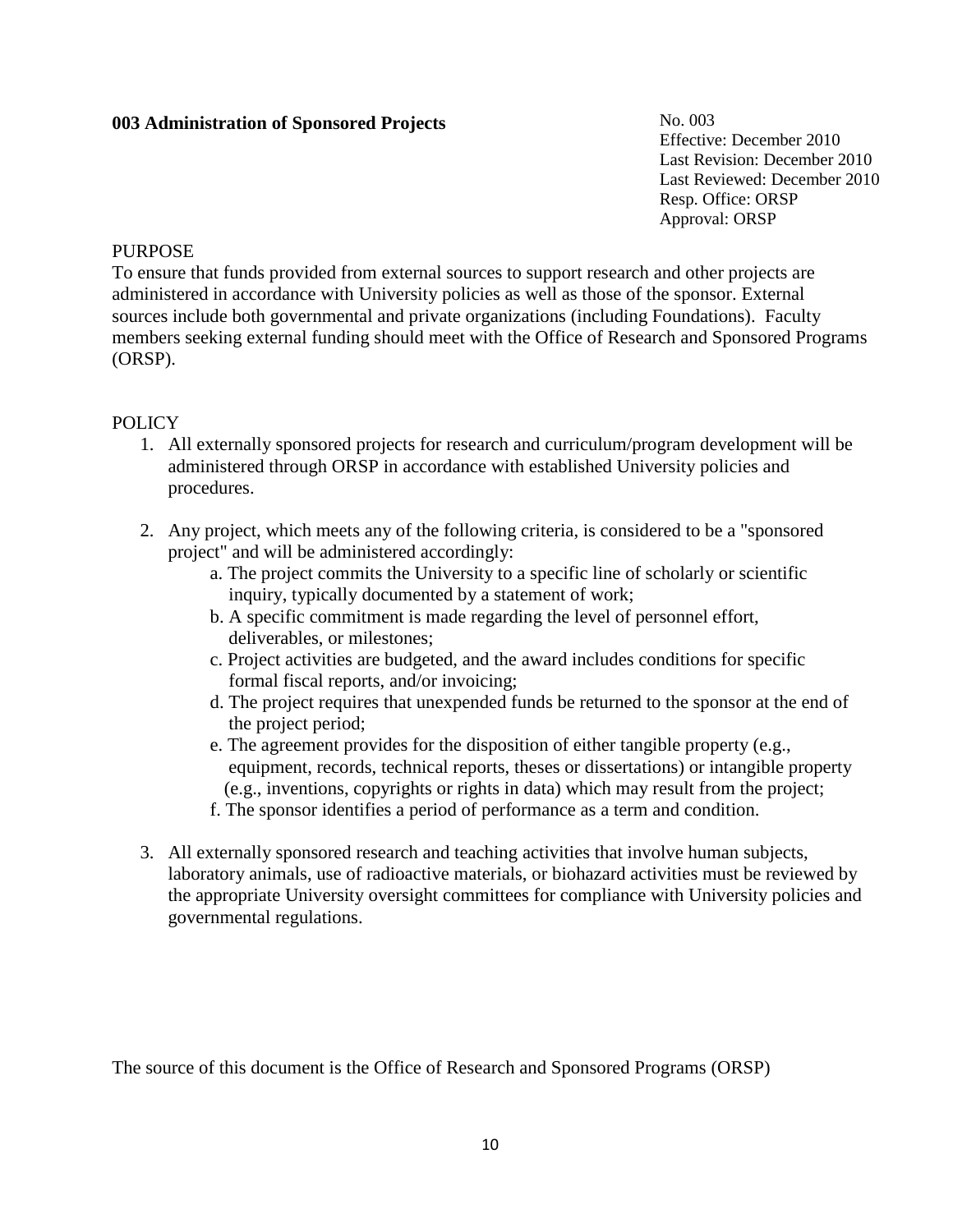# **003 Administration of Sponsored Projects**

No. 003 Effective: December 2010 Last Revision: December 2010 Last Reviewed: December 2010 Resp. Office: ORSP Approval: ORSP

#### **PURPOSE**

To ensure that funds provided from external sources to support research and other projects are administered in accordance with University policies as well as those of the sponsor. External sources include both governmental and private organizations (including Foundations). Faculty members seeking external funding should meet with the Office of Research and Sponsored Programs (ORSP).

### POLICY

- 1. All externally sponsored projects for research and curriculum/program development will be administered through ORSP in accordance with established University policies and procedures.
- 2. Any project, which meets any of the following criteria, is considered to be a "sponsored project" and will be administered accordingly:
	- a. The project commits the University to a specific line of scholarly or scientific inquiry, typically documented by a statement of work;
	- b. A specific commitment is made regarding the level of personnel effort, deliverables, or milestones;
	- c. Project activities are budgeted, and the award includes conditions for specific formal fiscal reports, and/or invoicing;
	- d. The project requires that unexpended funds be returned to the sponsor at the end of the project period;
	- e. The agreement provides for the disposition of either tangible property (e.g., equipment, records, technical reports, theses or dissertations) or intangible property (e.g., inventions, copyrights or rights in data) which may result from the project;
	- f. The sponsor identifies a period of performance as a term and condition.
- 3. All externally sponsored research and teaching activities that involve human subjects, laboratory animals, use of radioactive materials, or biohazard activities must be reviewed by the appropriate University oversight committees for compliance with University policies and governmental regulations.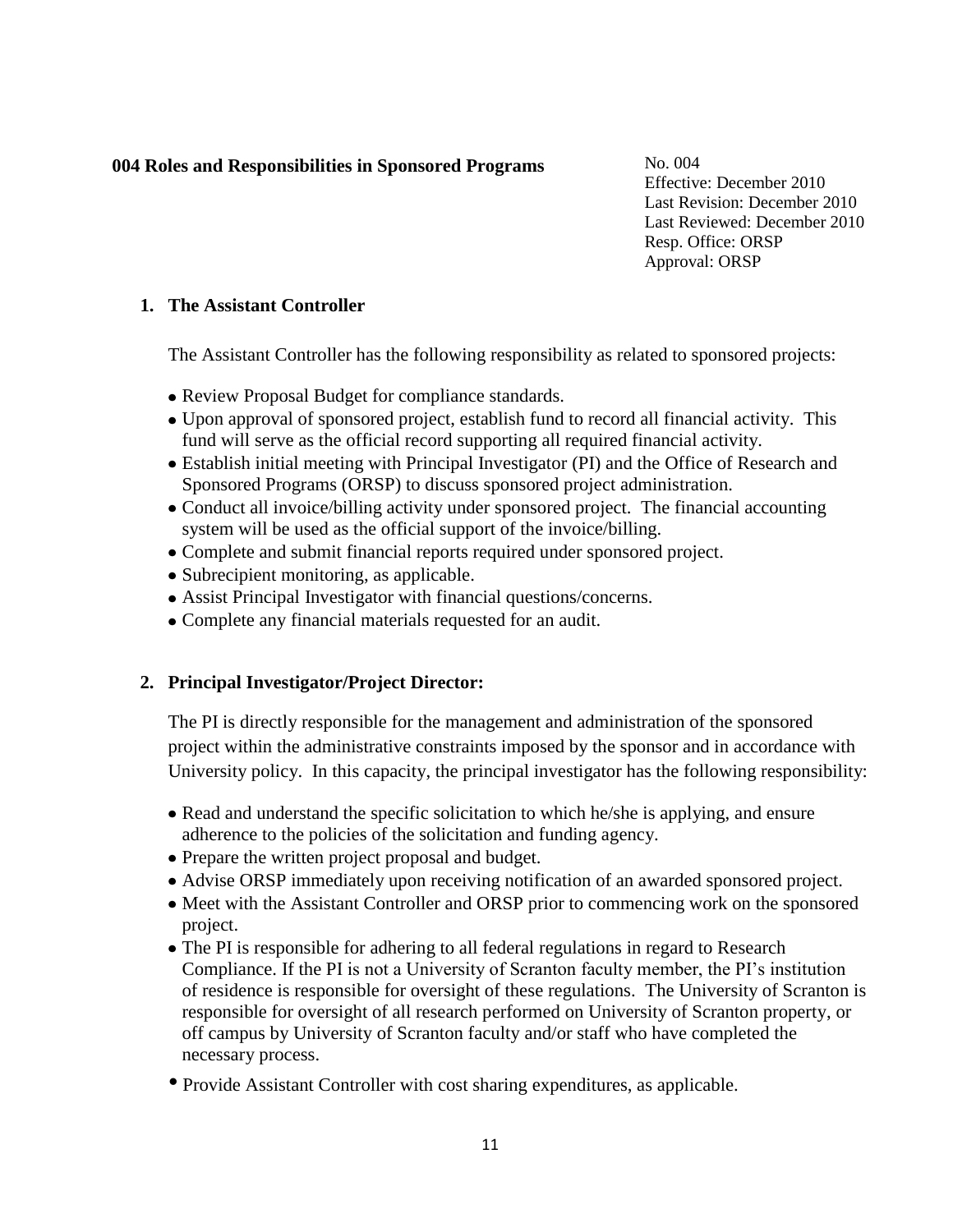# **004 Roles and Responsibilities in Sponsored Programs**

No. 004 Effective: December 2010 Last Revision: December 2010 Last Reviewed: December 2010 Resp. Office: ORSP Approval: ORSP

# **1. The Assistant Controller**

The Assistant Controller has the following responsibility as related to sponsored projects:

- Review Proposal Budget for compliance standards.
- Upon approval of sponsored project, establish fund to record all financial activity. This fund will serve as the official record supporting all required financial activity.
- Establish initial meeting with Principal Investigator (PI) and the Office of Research and Sponsored Programs (ORSP) to discuss sponsored project administration.
- Conduct all invoice/billing activity under sponsored project. The financial accounting system will be used as the official support of the invoice/billing.
- Complete and submit financial reports required under sponsored project.
- Subrecipient monitoring, as applicable.
- Assist Principal Investigator with financial questions/concerns.
- Complete any financial materials requested for an audit.

# **2. Principal Investigator/Project Director:**

The PI is directly responsible for the management and administration of the sponsored project within the administrative constraints imposed by the sponsor and in accordance with University policy. In this capacity, the principal investigator has the following responsibility:

- Read and understand the specific solicitation to which he/she is applying, and ensure adherence to the policies of the solicitation and funding agency.
- Prepare the written project proposal and budget.
- Advise ORSP immediately upon receiving notification of an awarded sponsored project.
- Meet with the Assistant Controller and ORSP prior to commencing work on the sponsored project.
- The PI is responsible for adhering to all federal regulations in regard to Research Compliance. If the PI is not a University of Scranton faculty member, the PI's institution of residence is responsible for oversight of these regulations. The University of Scranton is responsible for oversight of all research performed on University of Scranton property, or off campus by University of Scranton faculty and/or staff who have completed the necessary process.
- Provide Assistant Controller with cost sharing expenditures, as applicable.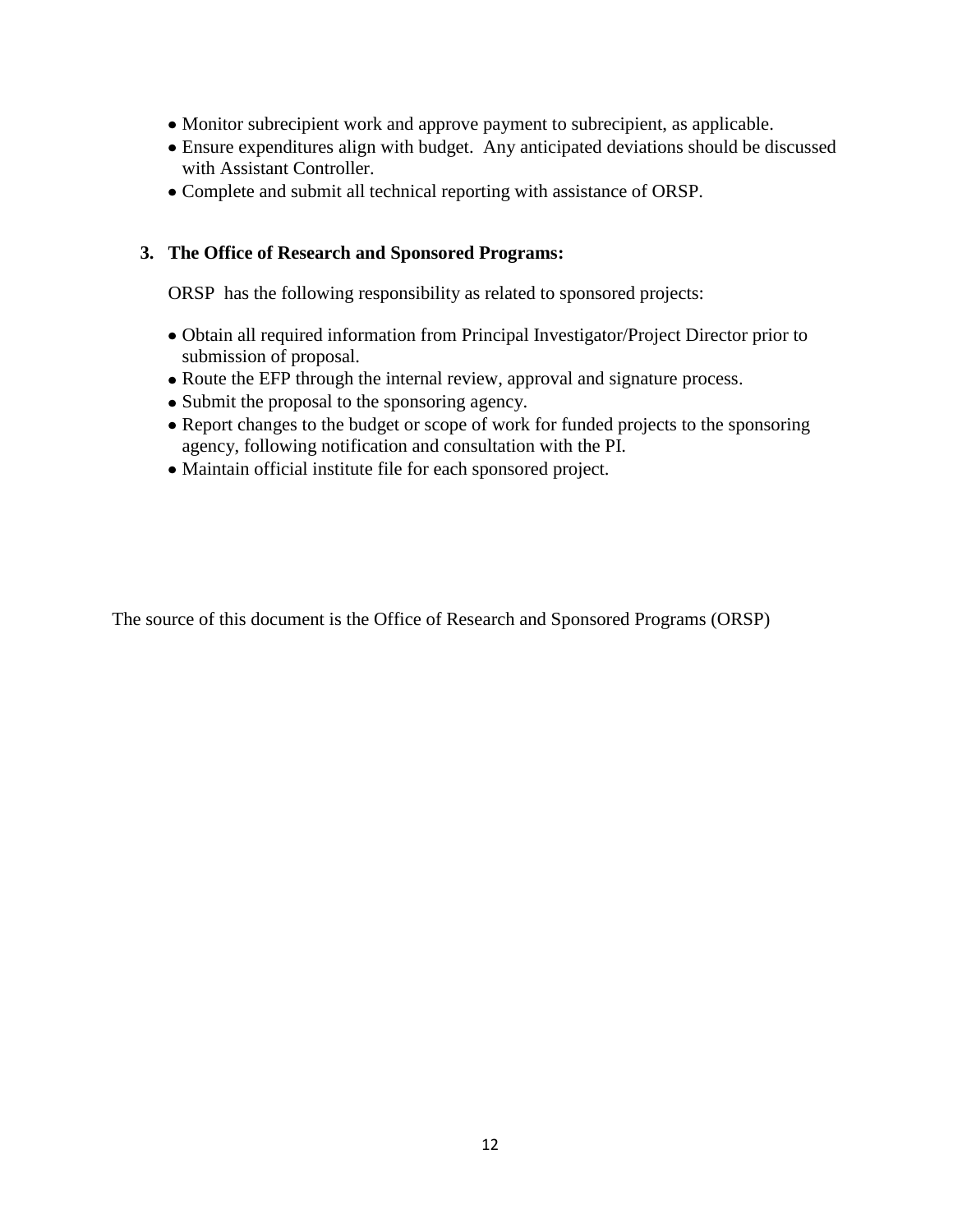- Monitor subrecipient work and approve payment to subrecipient, as applicable.
- Ensure expenditures align with budget. Any anticipated deviations should be discussed with Assistant Controller.
- Complete and submit all technical reporting with assistance of ORSP.

# **3. The Office of Research and Sponsored Programs:**

ORSP has the following responsibility as related to sponsored projects:

- Obtain all required information from Principal Investigator/Project Director prior to submission of proposal.
- Route the EFP through the internal review, approval and signature process.
- Submit the proposal to the sponsoring agency.
- Report changes to the budget or scope of work for funded projects to the sponsoring agency, following notification and consultation with the PI.
- Maintain official institute file for each sponsored project.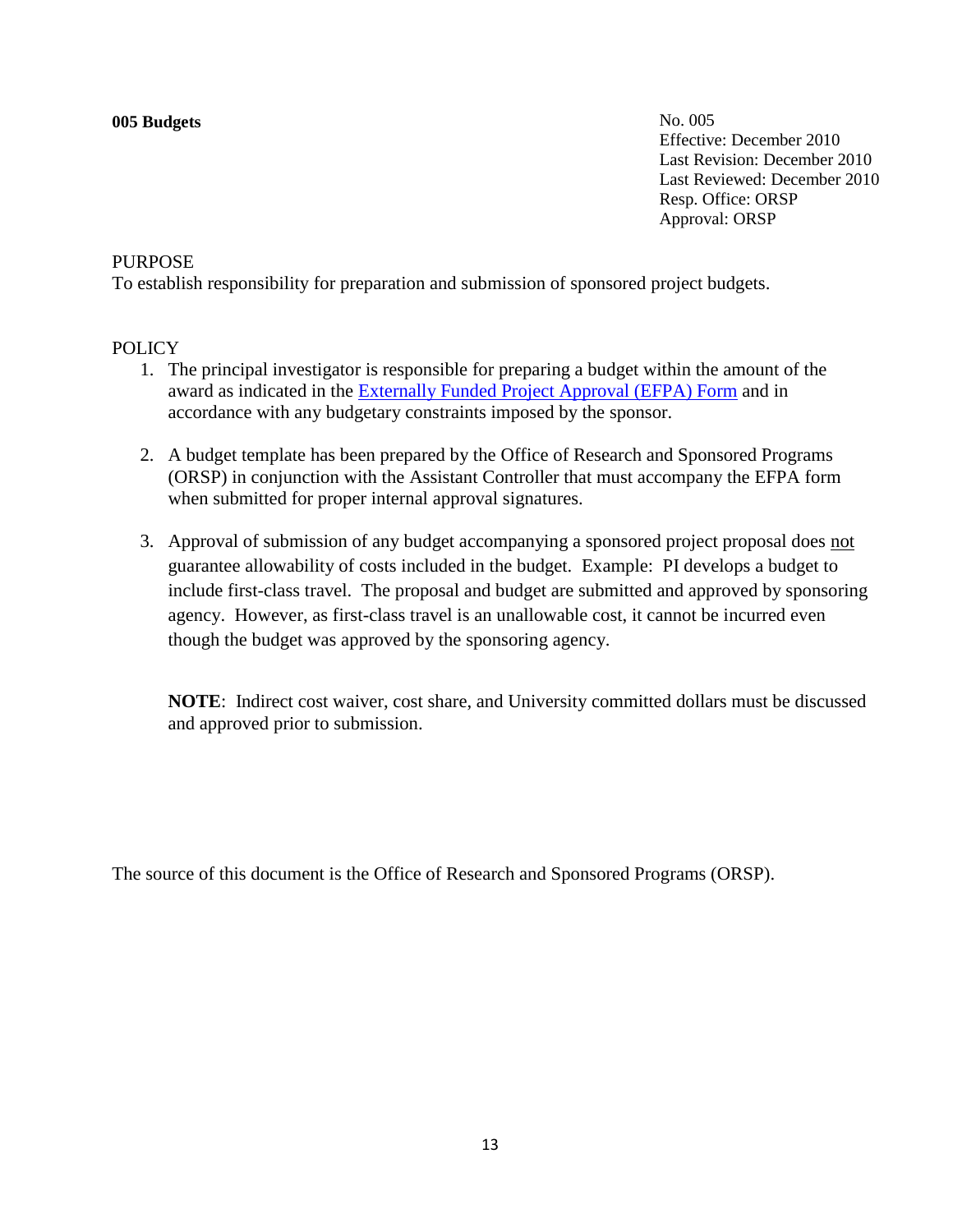#### **005 Budgets**

No. 005 Effective: December 2010 Last Revision: December 2010 Last Reviewed: December 2010 Resp. Office: ORSP Approval: ORSP

### PURPOSE

To establish responsibility for preparation and submission of sponsored project budgets.

# POLICY

- 1. The principal investigator is responsible for preparing a budget within the amount of the award as indicated in the [Externally Funded Project Approval \(EFPA\) Form](http://matrix.scranton.edu/academics/provost/research/documents/efpa2012.doc) and in accordance with any budgetary constraints imposed by the sponsor.
- 2. A budget template has been prepared by the Office of Research and Sponsored Programs (ORSP) in conjunction with the Assistant Controller that must accompany the EFPA form when submitted for proper internal approval signatures.
- 3. Approval of submission of any budget accompanying a sponsored project proposal does not guarantee allowability of costs included in the budget. Example: PI develops a budget to include first-class travel. The proposal and budget are submitted and approved by sponsoring agency. However, as first-class travel is an unallowable cost, it cannot be incurred even though the budget was approved by the sponsoring agency.

**NOTE**: Indirect cost waiver, cost share, and University committed dollars must be discussed and approved prior to submission.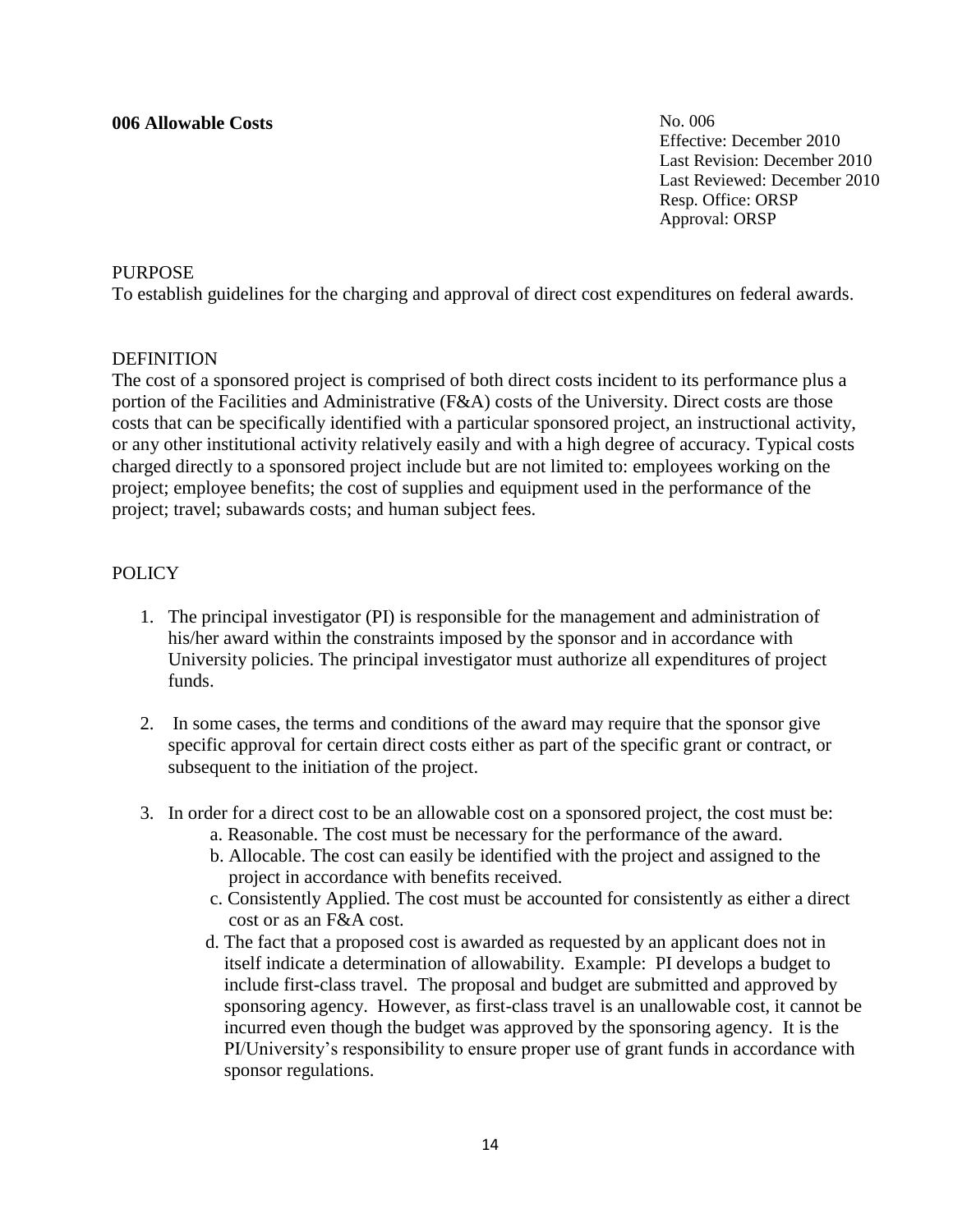#### **006 Allowable Costs**

No. 006 Effective: December 2010 Last Revision: December 2010 Last Reviewed: December 2010 Resp. Office: ORSP Approval: ORSP

# PURPOSE

To establish guidelines for the charging and approval of direct cost expenditures on federal awards.

### DEFINITION

The cost of a sponsored project is comprised of both direct costs incident to its performance plus a portion of the Facilities and Administrative (F&A) costs of the University. Direct costs are those costs that can be specifically identified with a particular sponsored project, an instructional activity, or any other institutional activity relatively easily and with a high degree of accuracy. Typical costs charged directly to a sponsored project include but are not limited to: employees working on the project; employee benefits; the cost of supplies and equipment used in the performance of the project; travel; subawards costs; and human subject fees.

# **POLICY**

- 1. The principal investigator (PI) is responsible for the management and administration of his/her award within the constraints imposed by the sponsor and in accordance with University policies. The principal investigator must authorize all expenditures of project funds.
- 2. In some cases, the terms and conditions of the award may require that the sponsor give specific approval for certain direct costs either as part of the specific grant or contract, or subsequent to the initiation of the project.
- 3. In order for a direct cost to be an allowable cost on a sponsored project, the cost must be: a. Reasonable. The cost must be necessary for the performance of the award.
	- b. Allocable. The cost can easily be identified with the project and assigned to the project in accordance with benefits received.
	- c. Consistently Applied. The cost must be accounted for consistently as either a direct cost or as an F&A cost.
	- d. The fact that a proposed cost is awarded as requested by an applicant does not in itself indicate a determination of allowability. Example: PI develops a budget to include first-class travel. The proposal and budget are submitted and approved by sponsoring agency. However, as first-class travel is an unallowable cost, it cannot be incurred even though the budget was approved by the sponsoring agency. It is the PI/University's responsibility to ensure proper use of grant funds in accordance with sponsor regulations.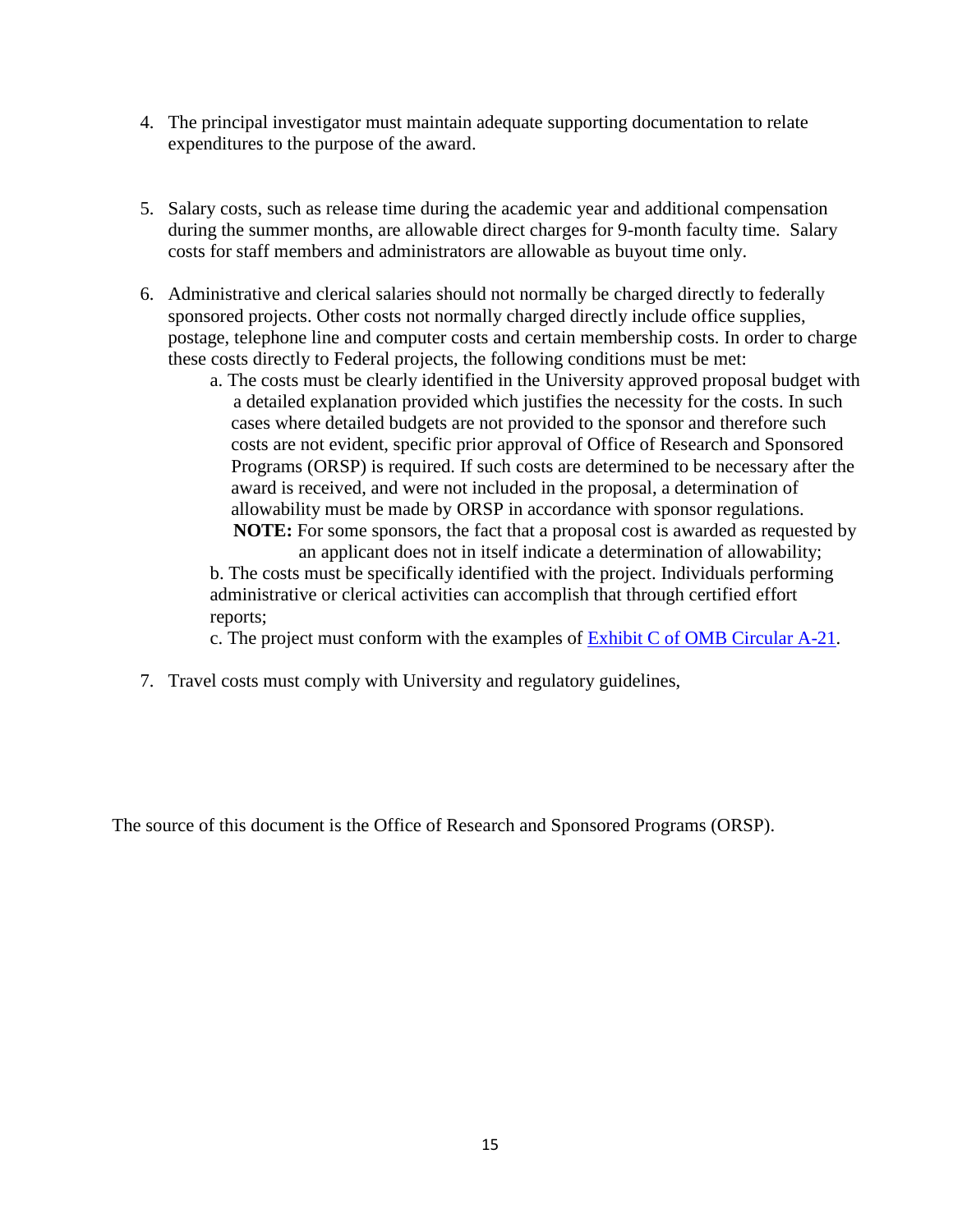- 4. The principal investigator must maintain adequate supporting documentation to relate expenditures to the purpose of the award.
- 5. Salary costs, such as release time during the academic year and additional compensation during the summer months, are allowable direct charges for 9-month faculty time. Salary costs for staff members and administrators are allowable as buyout time only.
- 6. Administrative and clerical salaries should not normally be charged directly to federally sponsored projects. Other costs not normally charged directly include office supplies, postage, telephone line and computer costs and certain membership costs. In order to charge these costs directly to Federal projects, the following conditions must be met:
	- a. The costs must be clearly identified in the University approved proposal budget with a detailed explanation provided which justifies the necessity for the costs. In such cases where detailed budgets are not provided to the sponsor and therefore such costs are not evident, specific prior approval of Office of Research and Sponsored Programs (ORSP) is required. If such costs are determined to be necessary after the award is received, and were not included in the proposal, a determination of allowability must be made by ORSP in accordance with sponsor regulations.  **NOTE:** For some sponsors, the fact that a proposal cost is awarded as requested by

 an applicant does not in itself indicate a determination of allowability; b. The costs must be specifically identified with the project. Individuals performing administrative or clerical activities can accomplish that through certified effort reports;

c. The project must conform with the examples of [Exhibit C of OMB Circular A-21.](http://www.whitehouse.gov/omb/circulars_a021_2004#exc)

7. Travel costs must comply with University and regulatory guidelines,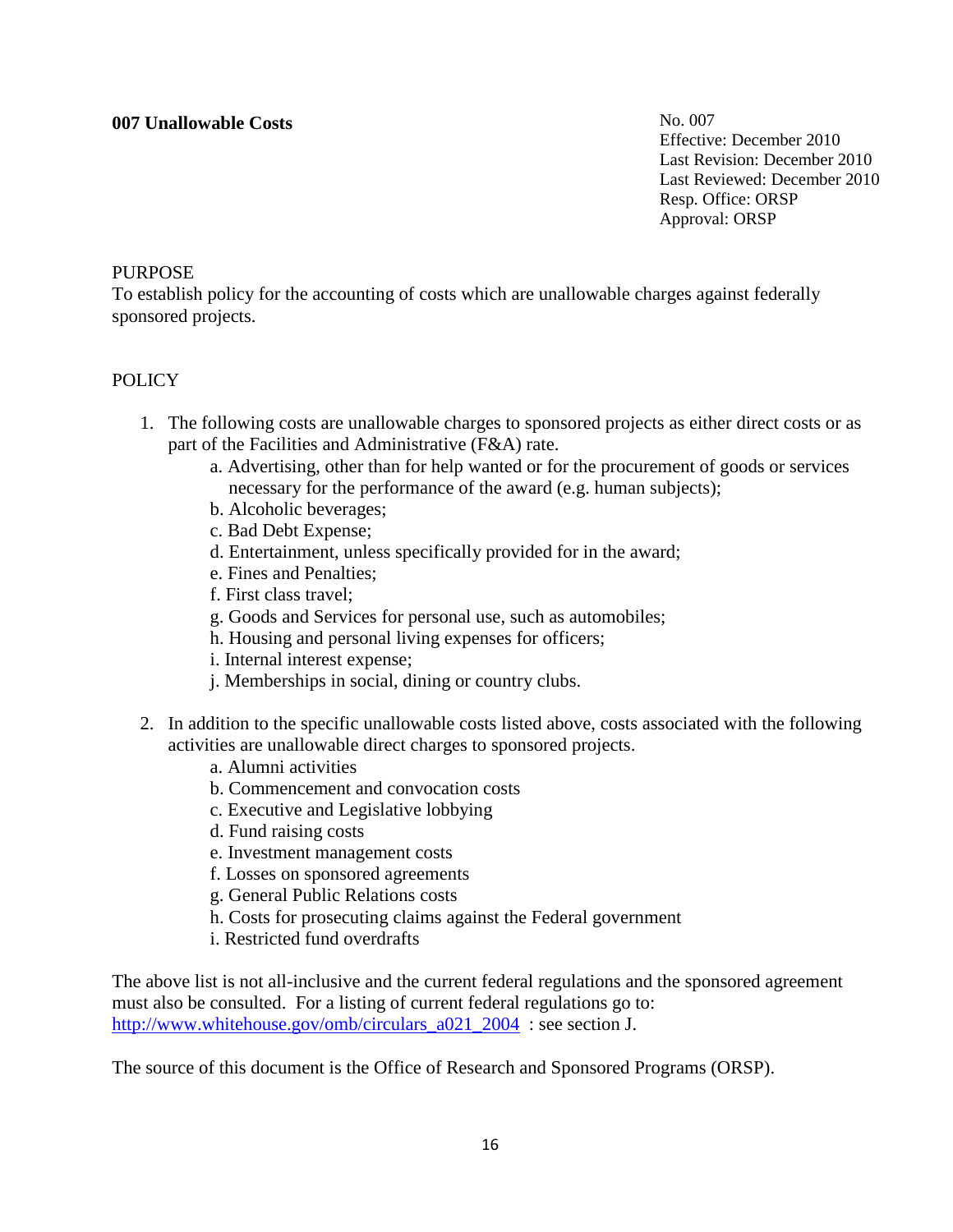# **007 Unallowable Costs**

No. 007 Effective: December 2010 Last Revision: December 2010 Last Reviewed: December 2010 Resp. Office: ORSP Approval: ORSP

### PURPOSE

To establish policy for the accounting of costs which are unallowable charges against federally sponsored projects.

### POLICY

- 1. The following costs are unallowable charges to sponsored projects as either direct costs or as part of the Facilities and Administrative (F&A) rate.
	- a. Advertising, other than for help wanted or for the procurement of goods or services necessary for the performance of the award (e.g. human subjects);
	- b. Alcoholic beverages;
	- c. Bad Debt Expense;
	- d. Entertainment, unless specifically provided for in the award;
	- e. Fines and Penalties;
	- f. First class travel;
	- g. Goods and Services for personal use, such as automobiles;
	- h. Housing and personal living expenses for officers;
	- i. Internal interest expense;
	- j. Memberships in social, dining or country clubs.
- 2. In addition to the specific unallowable costs listed above, costs associated with the following activities are unallowable direct charges to sponsored projects.
	- a. Alumni activities
	- b. Commencement and convocation costs
	- c. Executive and Legislative lobbying
	- d. Fund raising costs
	- e. Investment management costs
	- f. Losses on sponsored agreements
	- g. General Public Relations costs
	- h. Costs for prosecuting claims against the Federal government
	- i. Restricted fund overdrafts

The above list is not all-inclusive and the current federal regulations and the sponsored agreement must also be consulted. For a listing of current federal regulations go to: http://www.whitehouse.gov/omb/circulars a021 2004 : see section J.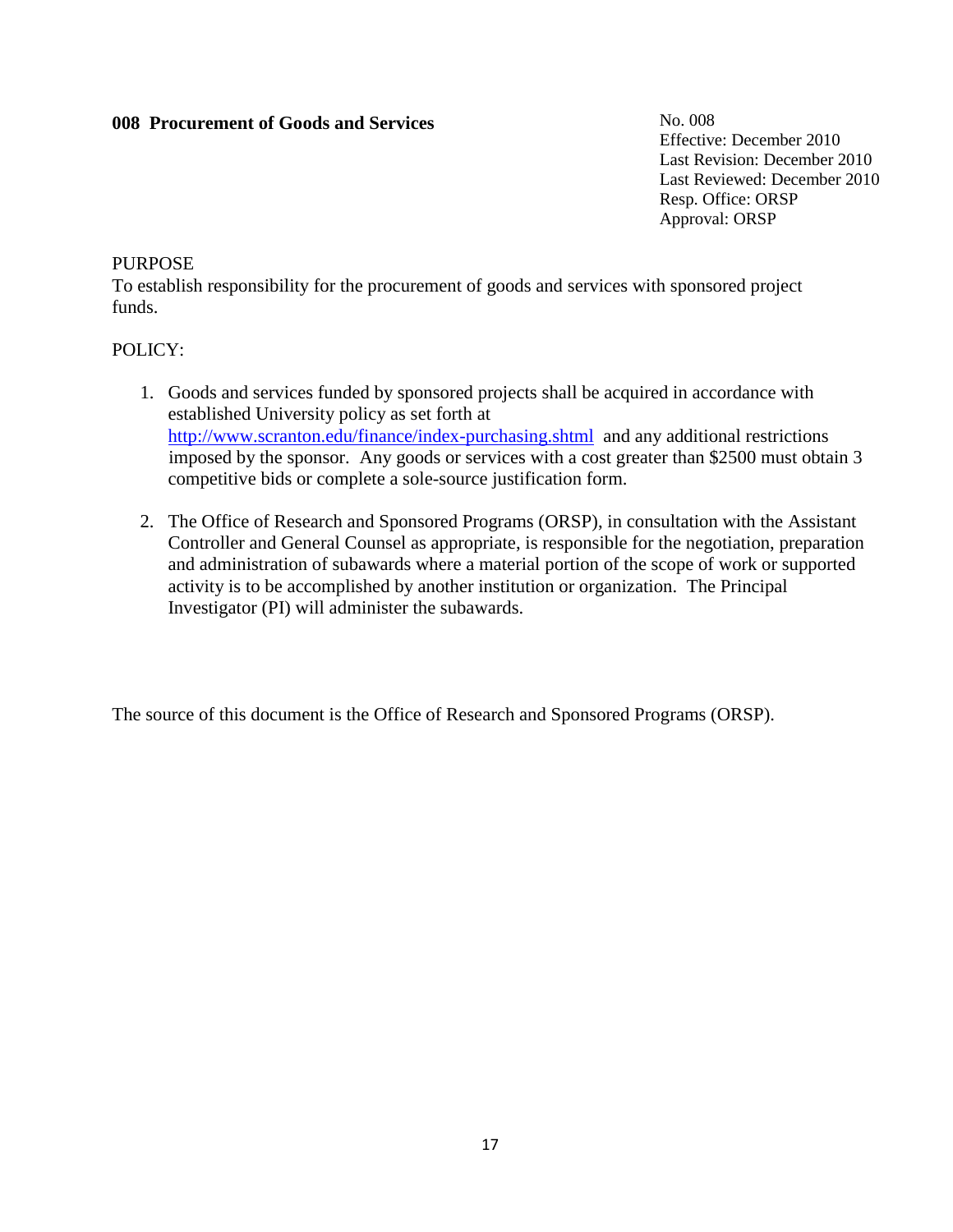# **008 Procurement of Goods and Services**

No. 008 Effective: December 2010 Last Revision: December 2010 Last Reviewed: December 2010 Resp. Office: ORSP Approval: ORSP

#### PURPOSE

To establish responsibility for the procurement of goods and services with sponsored project funds.

### POLICY:

- 1. Goods and services funded by sponsored projects shall be acquired in accordance with established University policy as set forth at <http://www.scranton.edu/finance/index-purchasing.shtml>and any additional restrictions imposed by the sponsor. Any goods or services with a cost greater than \$2500 must obtain 3 competitive bids or complete a sole-source justification form.
- 2. The Office of Research and Sponsored Programs (ORSP), in consultation with the Assistant Controller and General Counsel as appropriate, is responsible for the negotiation, preparation and administration of subawards where a material portion of the scope of work or supported activity is to be accomplished by another institution or organization. The Principal Investigator (PI) will administer the subawards.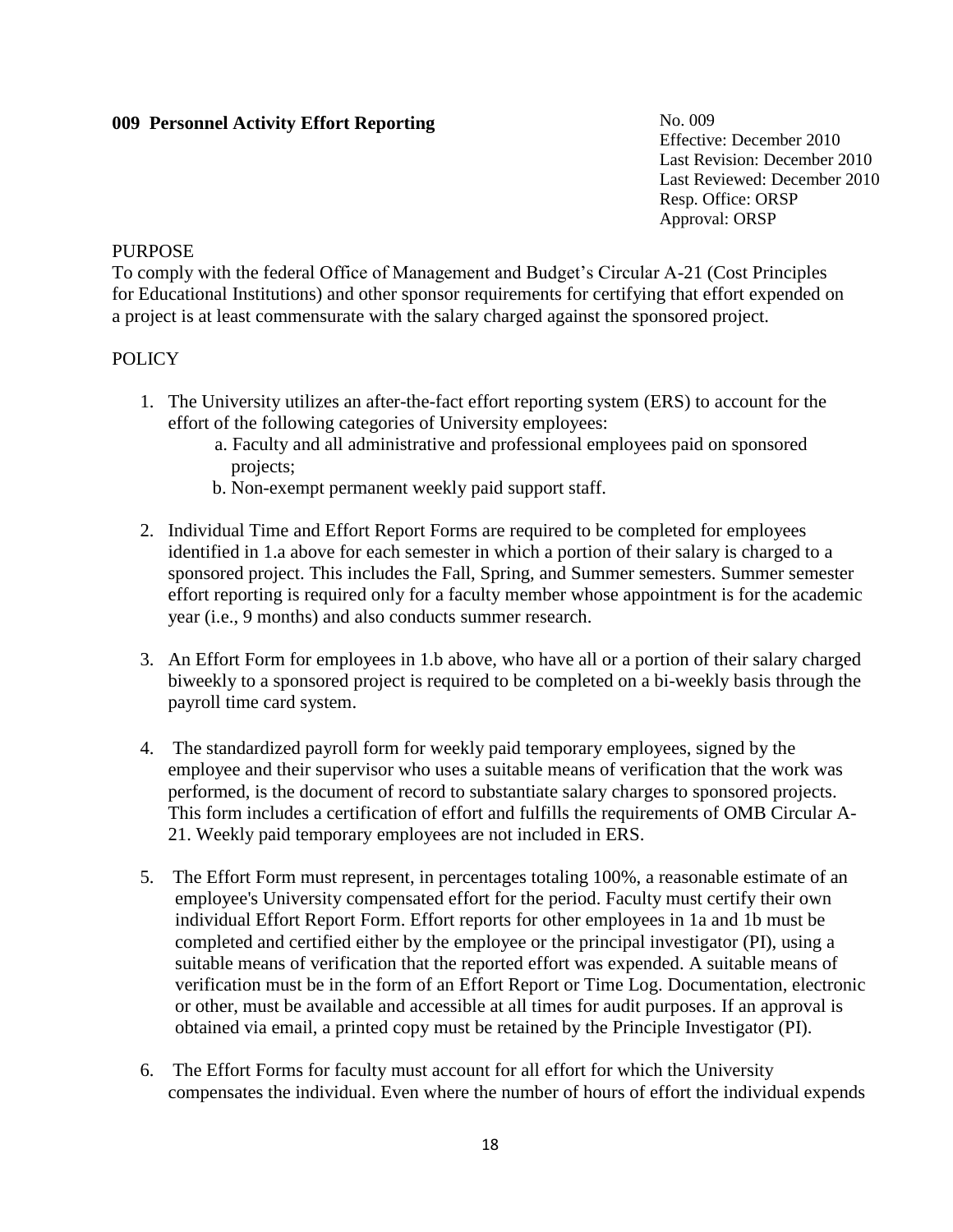# **009 Personnel Activity Effort Reporting**

No. 009 Effective: December 2010 Last Revision: December 2010 Last Reviewed: December 2010 Resp. Office: ORSP Approval: ORSP

#### **PURPOSE**

To comply with the federal Office of Management and Budget's Circular A-21 (Cost Principles for Educational Institutions) and other sponsor requirements for certifying that effort expended on a project is at least commensurate with the salary charged against the sponsored project.

### **POLICY**

- 1. The University utilizes an after-the-fact effort reporting system (ERS) to account for the effort of the following categories of University employees:
	- a. Faculty and all administrative and professional employees paid on sponsored projects;
	- b. Non-exempt permanent weekly paid support staff.
- 2. Individual Time and Effort Report Forms are required to be completed for employees identified in 1.a above for each semester in which a portion of their salary is charged to a sponsored project. This includes the Fall, Spring, and Summer semesters. Summer semester effort reporting is required only for a faculty member whose appointment is for the academic year (i.e., 9 months) and also conducts summer research.
- 3. An Effort Form for employees in 1.b above, who have all or a portion of their salary charged biweekly to a sponsored project is required to be completed on a bi-weekly basis through the payroll time card system.
- 4. The standardized payroll form for weekly paid temporary employees, signed by the employee and their supervisor who uses a suitable means of verification that the work was performed, is the document of record to substantiate salary charges to sponsored projects. This form includes a certification of effort and fulfills the requirements of OMB Circular A-21. Weekly paid temporary employees are not included in ERS.
- 5. The Effort Form must represent, in percentages totaling 100%, a reasonable estimate of an employee's University compensated effort for the period. Faculty must certify their own individual Effort Report Form. Effort reports for other employees in 1a and 1b must be completed and certified either by the employee or the principal investigator (PI), using a suitable means of verification that the reported effort was expended. A suitable means of verification must be in the form of an Effort Report or Time Log. Documentation, electronic or other, must be available and accessible at all times for audit purposes. If an approval is obtained via email, a printed copy must be retained by the Principle Investigator (PI).
- 6. The Effort Forms for faculty must account for all effort for which the University compensates the individual. Even where the number of hours of effort the individual expends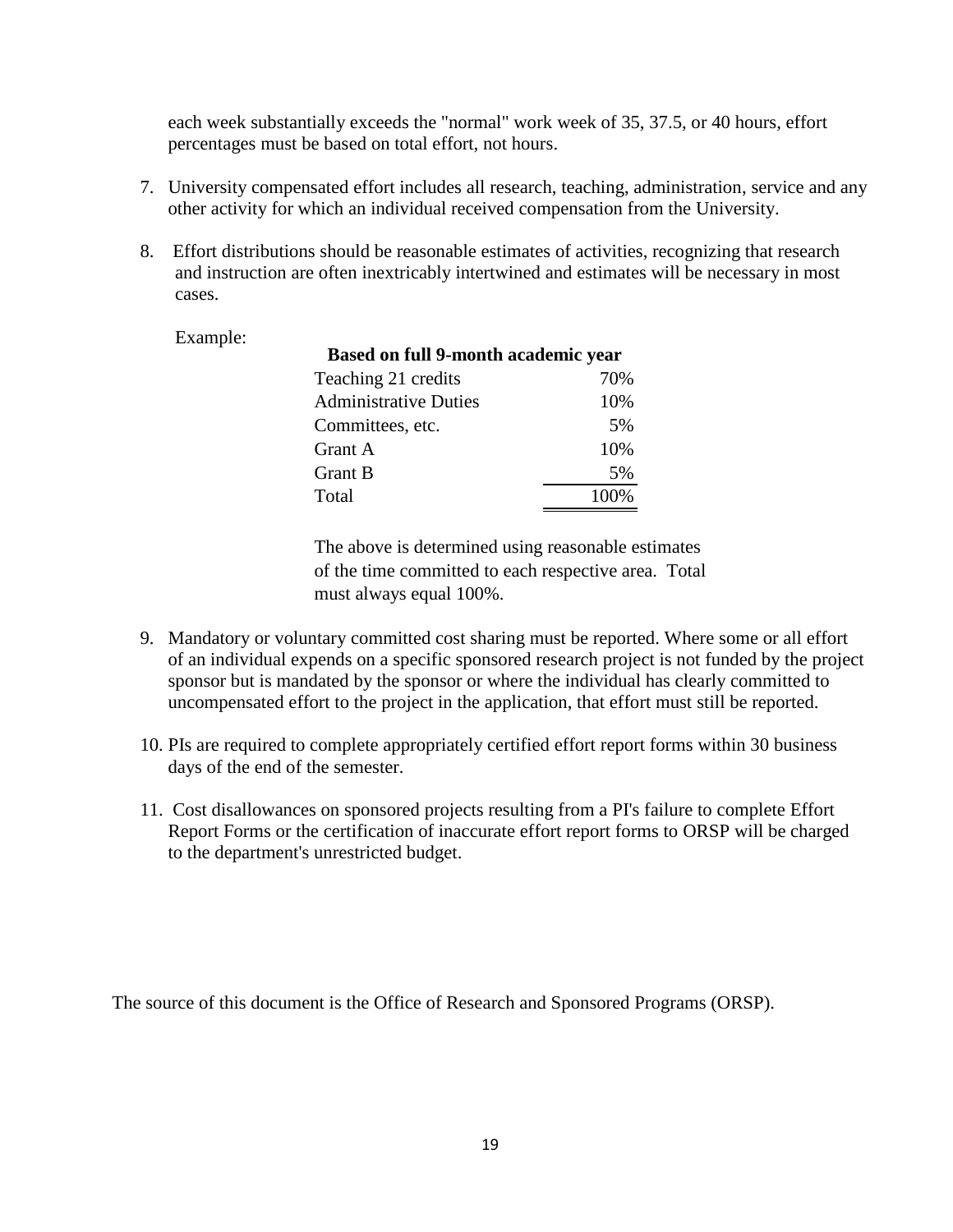each week substantially exceeds the "normal" work week of 35, 37.5, or 40 hours, effort percentages must be based on total effort, not hours.

- 7. University compensated effort includes all research, teaching, administration, service and any other activity for which an individual received compensation from the University.
- 8. Effort distributions should be reasonable estimates of activities, recognizing that research and instruction are often inextricably intertwined and estimates will be necessary in most cases.

| Example: | <b>Based on full 9-month academic year</b> |      |  |
|----------|--------------------------------------------|------|--|
|          | Teaching 21 credits                        | 70%  |  |
|          | <b>Administrative Duties</b>               | 10%  |  |
|          | Committees, etc.                           | 5%   |  |
|          | Grant A                                    | 10%  |  |
|          | <b>Grant B</b>                             | 5%   |  |
|          | Total                                      | 100% |  |

The above is determined using reasonable estimates of the time committed to each respective area. Total must always equal 100%.

- 9. Mandatory or voluntary committed cost sharing must be reported. Where some or all effort of an individual expends on a specific sponsored research project is not funded by the project sponsor but is mandated by the sponsor or where the individual has clearly committed to uncompensated effort to the project in the application, that effort must still be reported.
- 10. PIs are required to complete appropriately certified effort report forms within 30 business days of the end of the semester.
- 11. Cost disallowances on sponsored projects resulting from a PI's failure to complete Effort Report Forms or the certification of inaccurate effort report forms to ORSP will be charged to the department's unrestricted budget.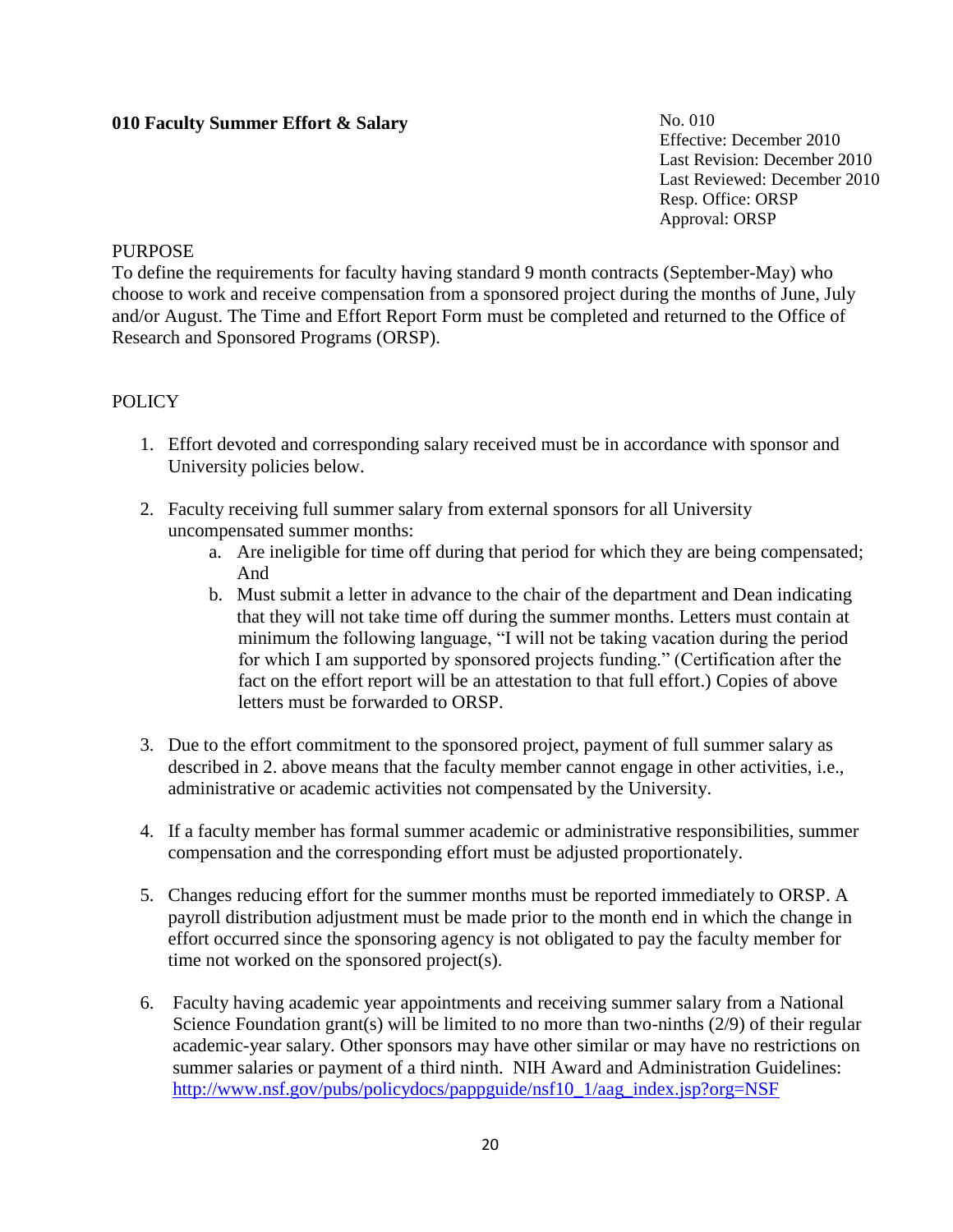# **010 Faculty Summer Effort & Salary**

No. 010 Effective: December 2010 Last Revision: December 2010 Last Reviewed: December 2010 Resp. Office: ORSP Approval: ORSP

#### **PURPOSE**

To define the requirements for faculty having standard 9 month contracts (September-May) who choose to work and receive compensation from a sponsored project during the months of June, July and/or August. The Time and Effort Report Form must be completed and returned to the Office of Research and Sponsored Programs (ORSP).

#### **POLICY**

- 1. Effort devoted and corresponding salary received must be in accordance with sponsor and University policies below.
- 2. Faculty receiving full summer salary from external sponsors for all University uncompensated summer months:
	- a. Are ineligible for time off during that period for which they are being compensated; And
	- b. Must submit a letter in advance to the chair of the department and Dean indicating that they will not take time off during the summer months. Letters must contain at minimum the following language, "I will not be taking vacation during the period for which I am supported by sponsored projects funding." (Certification after the fact on the effort report will be an attestation to that full effort.) Copies of above letters must be forwarded to ORSP.
- 3. Due to the effort commitment to the sponsored project, payment of full summer salary as described in 2. above means that the faculty member cannot engage in other activities, i.e., administrative or academic activities not compensated by the University.
- 4. If a faculty member has formal summer academic or administrative responsibilities, summer compensation and the corresponding effort must be adjusted proportionately.
- 5. Changes reducing effort for the summer months must be reported immediately to ORSP. A payroll distribution adjustment must be made prior to the month end in which the change in effort occurred since the sponsoring agency is not obligated to pay the faculty member for time not worked on the sponsored project(s).
- 6. Faculty having academic year appointments and receiving summer salary from a National Science Foundation grant(s) will be limited to no more than two-ninths (2/9) of their regular academic-year salary. Other sponsors may have other similar or may have no restrictions on summer salaries or payment of a third ninth. NIH Award and Administration Guidelines: [http://www.nsf.gov/pubs/policydocs/pappguide/nsf10\\_1/aag\\_index.jsp?org=NSF](http://www.nsf.gov/pubs/policydocs/pappguide/nsf10_1/aag_index.jsp?org=NSF)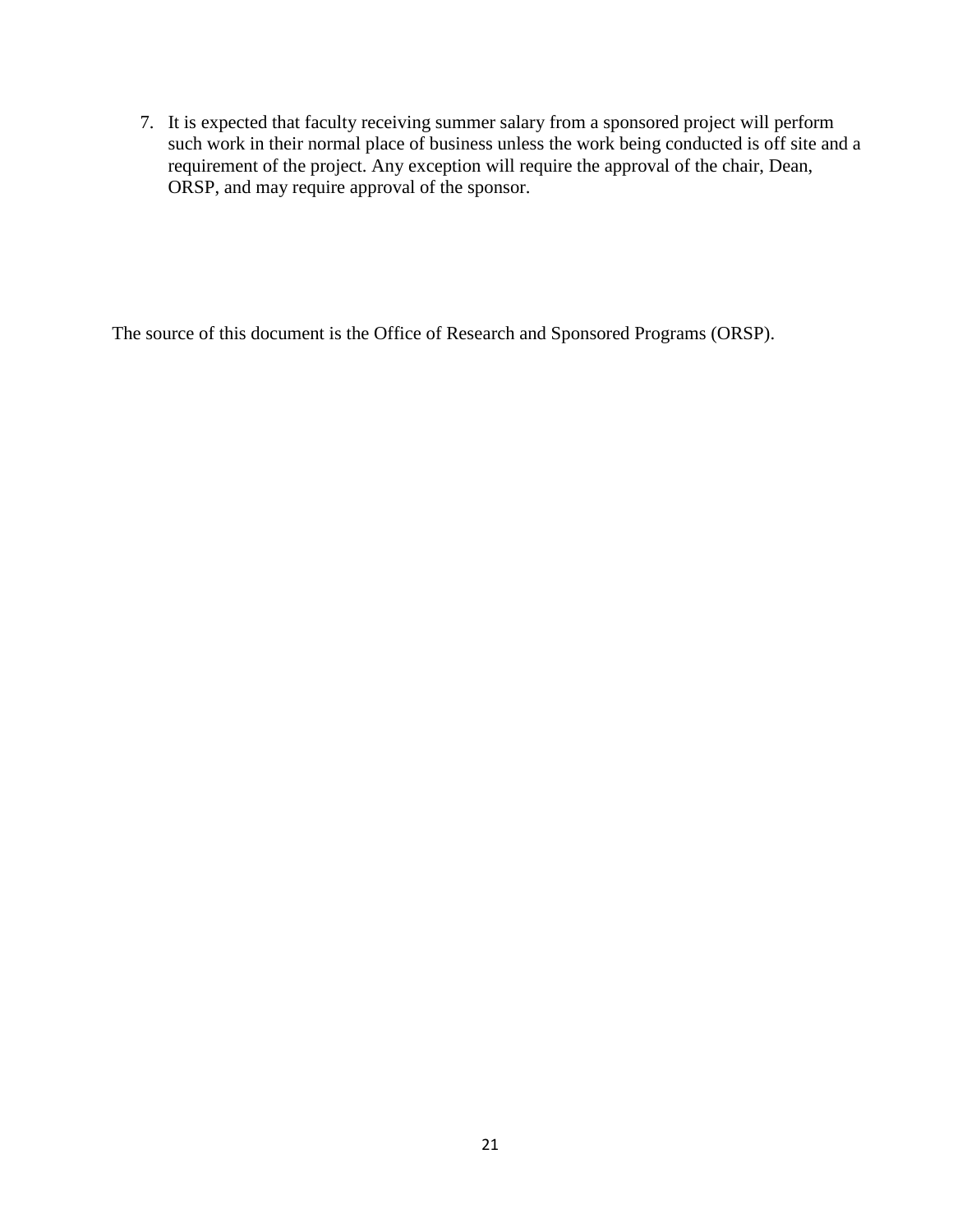7. It is expected that faculty receiving summer salary from a sponsored project will perform such work in their normal place of business unless the work being conducted is off site and a requirement of the project. Any exception will require the approval of the chair, Dean, ORSP, and may require approval of the sponsor.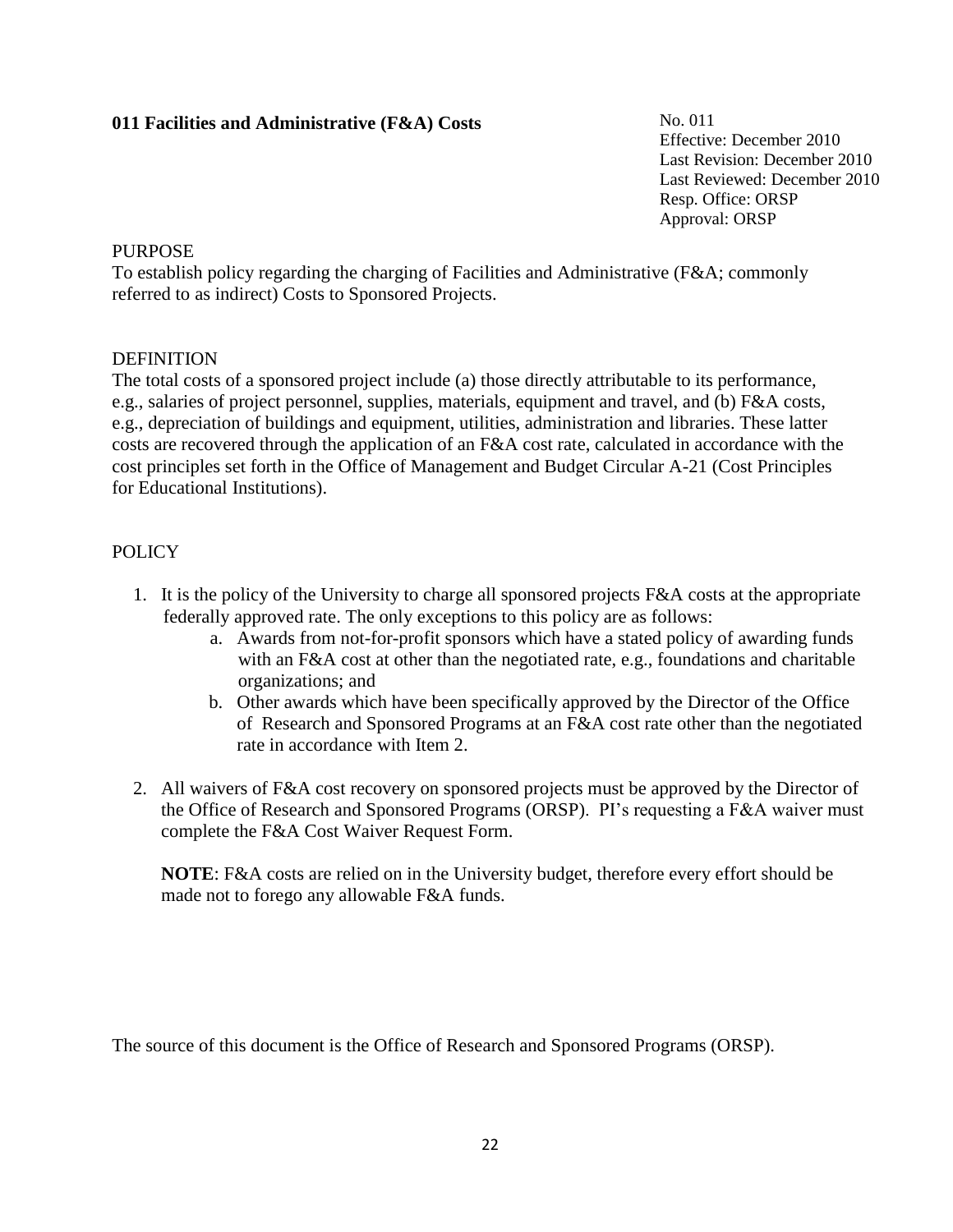# **011 Facilities and Administrative (F&A) Costs**

No. 011 Effective: December 2010 Last Revision: December 2010 Last Reviewed: December 2010 Resp. Office: ORSP Approval: ORSP

# **PURPOSE**

To establish policy regarding the charging of Facilities and Administrative (F&A; commonly referred to as indirect) Costs to Sponsored Projects.

# **DEFINITION**

The total costs of a sponsored project include (a) those directly attributable to its performance, e.g., salaries of project personnel, supplies, materials, equipment and travel, and (b) F&A costs, e.g., depreciation of buildings and equipment, utilities, administration and libraries. These latter costs are recovered through the application of an F&A cost rate, calculated in accordance with the cost principles set forth in the Office of Management and Budget Circular A-21 (Cost Principles for Educational Institutions).

# POLICY

- 1. It is the policy of the University to charge all sponsored projects F&A costs at the appropriate federally approved rate. The only exceptions to this policy are as follows:
	- a. Awards from not-for-profit sponsors which have a stated policy of awarding funds with an F&A cost at other than the negotiated rate, e.g., foundations and charitable organizations; and
	- b. Other awards which have been specifically approved by the Director of the Office of Research and Sponsored Programs at an F&A cost rate other than the negotiated rate in accordance with Item 2.
- 2. All waivers of F&A cost recovery on sponsored projects must be approved by the Director of the Office of Research and Sponsored Programs (ORSP). PI's requesting a F&A waiver must complete the F&A Cost Waiver Request Form.

**NOTE**: F&A costs are relied on in the University budget, therefore every effort should be made not to forego any allowable F&A funds.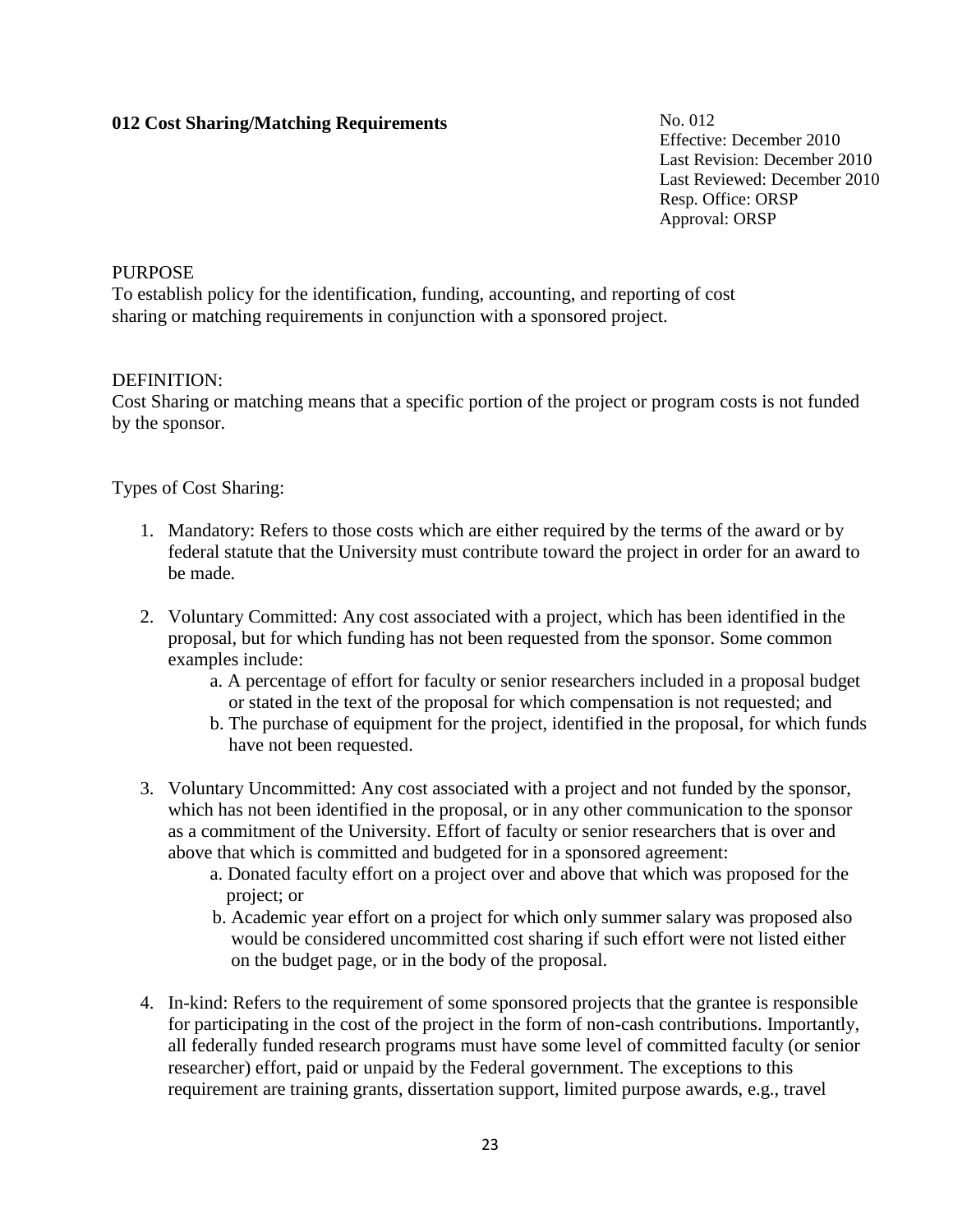# **012 Cost Sharing/Matching Requirements**

No. 012 Effective: December 2010 Last Revision: December 2010 Last Reviewed: December 2010 Resp. Office: ORSP Approval: ORSP

#### PURPOSE

To establish policy for the identification, funding, accounting, and reporting of cost sharing or matching requirements in conjunction with a sponsored project.

#### DEFINITION:

Cost Sharing or matching means that a specific portion of the project or program costs is not funded by the sponsor.

# Types of Cost Sharing:

- 1. Mandatory: Refers to those costs which are either required by the terms of the award or by federal statute that the University must contribute toward the project in order for an award to be made.
- 2. Voluntary Committed: Any cost associated with a project, which has been identified in the proposal, but for which funding has not been requested from the sponsor. Some common examples include:
	- a. A percentage of effort for faculty or senior researchers included in a proposal budget or stated in the text of the proposal for which compensation is not requested; and
	- b. The purchase of equipment for the project, identified in the proposal, for which funds have not been requested.
- 3. Voluntary Uncommitted: Any cost associated with a project and not funded by the sponsor, which has not been identified in the proposal, or in any other communication to the sponsor as a commitment of the University. Effort of faculty or senior researchers that is over and above that which is committed and budgeted for in a sponsored agreement:
	- a. Donated faculty effort on a project over and above that which was proposed for the project; or
	- b. Academic year effort on a project for which only summer salary was proposed also would be considered uncommitted cost sharing if such effort were not listed either on the budget page, or in the body of the proposal.
- 4. In-kind: Refers to the requirement of some sponsored projects that the grantee is responsible for participating in the cost of the project in the form of non-cash contributions. Importantly, all federally funded research programs must have some level of committed faculty (or senior researcher) effort, paid or unpaid by the Federal government. The exceptions to this requirement are training grants, dissertation support, limited purpose awards, e.g., travel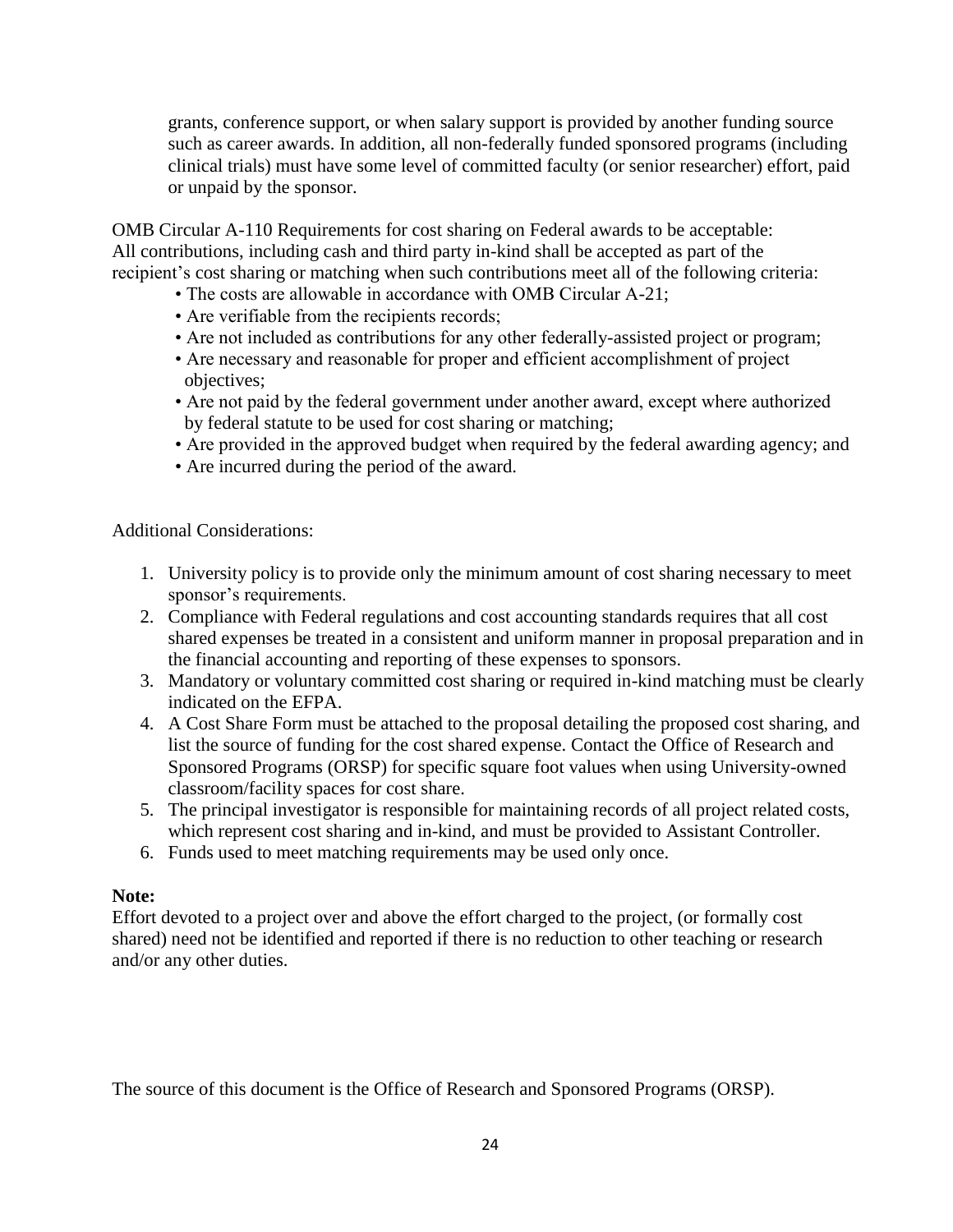grants, conference support, or when salary support is provided by another funding source such as career awards. In addition, all non-federally funded sponsored programs (including clinical trials) must have some level of committed faculty (or senior researcher) effort, paid or unpaid by the sponsor.

OMB Circular A-110 Requirements for cost sharing on Federal awards to be acceptable: All contributions, including cash and third party in-kind shall be accepted as part of the recipient's cost sharing or matching when such contributions meet all of the following criteria:

- The costs are allowable in accordance with OMB Circular A-21;
- Are verifiable from the recipients records;
- Are not included as contributions for any other federally-assisted project or program;
- Are necessary and reasonable for proper and efficient accomplishment of project objectives;
- Are not paid by the federal government under another award, except where authorized by federal statute to be used for cost sharing or matching;
- Are provided in the approved budget when required by the federal awarding agency; and
- Are incurred during the period of the award.

Additional Considerations:

- 1. University policy is to provide only the minimum amount of cost sharing necessary to meet sponsor's requirements.
- 2. Compliance with Federal regulations and cost accounting standards requires that all cost shared expenses be treated in a consistent and uniform manner in proposal preparation and in the financial accounting and reporting of these expenses to sponsors.
- 3. Mandatory or voluntary committed cost sharing or required in-kind matching must be clearly indicated on the EFPA.
- 4. A Cost Share Form must be attached to the proposal detailing the proposed cost sharing, and list the source of funding for the cost shared expense. Contact the Office of Research and Sponsored Programs (ORSP) for specific square foot values when using University-owned classroom/facility spaces for cost share.
- 5. The principal investigator is responsible for maintaining records of all project related costs, which represent cost sharing and in-kind, and must be provided to Assistant Controller.
- 6. Funds used to meet matching requirements may be used only once.

# **Note:**

Effort devoted to a project over and above the effort charged to the project, (or formally cost shared) need not be identified and reported if there is no reduction to other teaching or research and/or any other duties.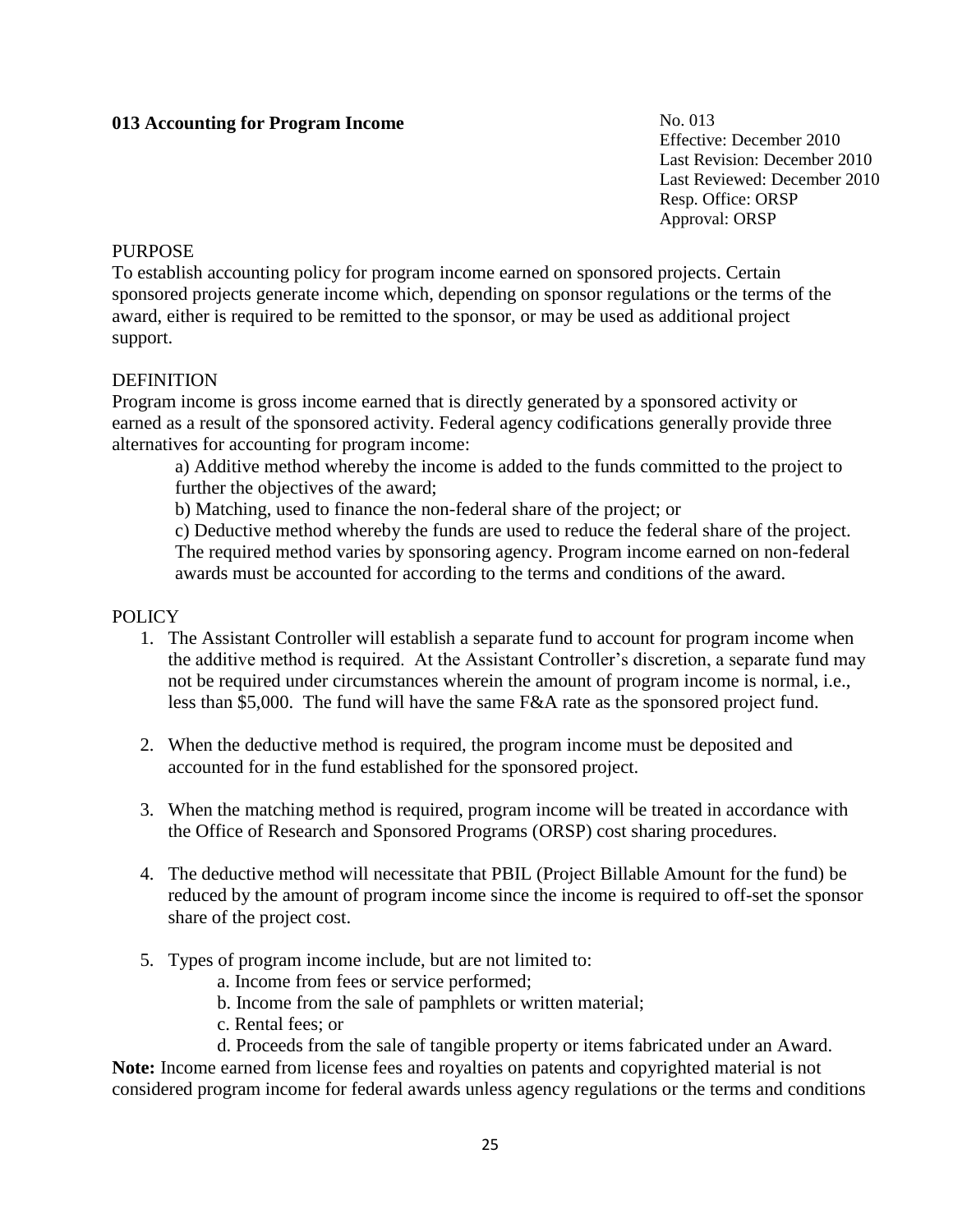# **013 Accounting for Program Income**

No. 013 Effective: December 2010 Last Revision: December 2010 Last Reviewed: December 2010 Resp. Office: ORSP Approval: ORSP

#### **PURPOSE**

To establish accounting policy for program income earned on sponsored projects. Certain sponsored projects generate income which, depending on sponsor regulations or the terms of the award, either is required to be remitted to the sponsor, or may be used as additional project support.

#### **DEFINITION**

Program income is gross income earned that is directly generated by a sponsored activity or earned as a result of the sponsored activity. Federal agency codifications generally provide three alternatives for accounting for program income:

a) Additive method whereby the income is added to the funds committed to the project to further the objectives of the award;

b) Matching, used to finance the non-federal share of the project; or

c) Deductive method whereby the funds are used to reduce the federal share of the project. The required method varies by sponsoring agency. Program income earned on non-federal awards must be accounted for according to the terms and conditions of the award.

#### POLICY

- 1. The Assistant Controller will establish a separate fund to account for program income when the additive method is required. At the Assistant Controller's discretion, a separate fund may not be required under circumstances wherein the amount of program income is normal, i.e., less than \$5,000. The fund will have the same F&A rate as the sponsored project fund.
- 2. When the deductive method is required, the program income must be deposited and accounted for in the fund established for the sponsored project.
- 3. When the matching method is required, program income will be treated in accordance with the Office of Research and Sponsored Programs (ORSP) cost sharing procedures.
- 4. The deductive method will necessitate that PBIL (Project Billable Amount for the fund) be reduced by the amount of program income since the income is required to off-set the sponsor share of the project cost.
- 5. Types of program income include, but are not limited to:
	- a. Income from fees or service performed;
	- b. Income from the sale of pamphlets or written material;
	- c. Rental fees; or

d. Proceeds from the sale of tangible property or items fabricated under an Award. **Note:** Income earned from license fees and royalties on patents and copyrighted material is not considered program income for federal awards unless agency regulations or the terms and conditions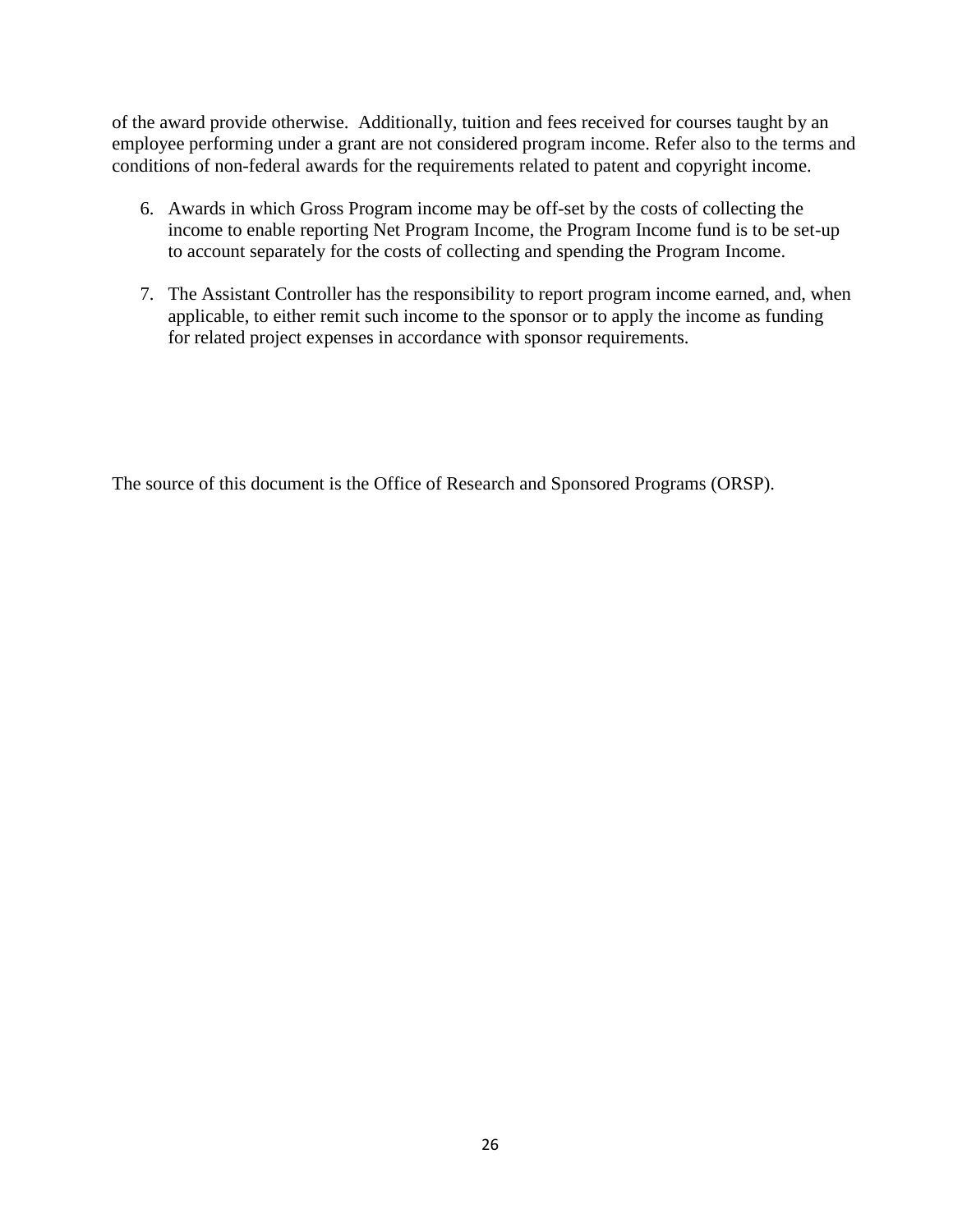of the award provide otherwise. Additionally, tuition and fees received for courses taught by an employee performing under a grant are not considered program income. Refer also to the terms and conditions of non-federal awards for the requirements related to patent and copyright income.

- 6. Awards in which Gross Program income may be off-set by the costs of collecting the income to enable reporting Net Program Income, the Program Income fund is to be set-up to account separately for the costs of collecting and spending the Program Income.
- 7. The Assistant Controller has the responsibility to report program income earned, and, when applicable, to either remit such income to the sponsor or to apply the income as funding for related project expenses in accordance with sponsor requirements.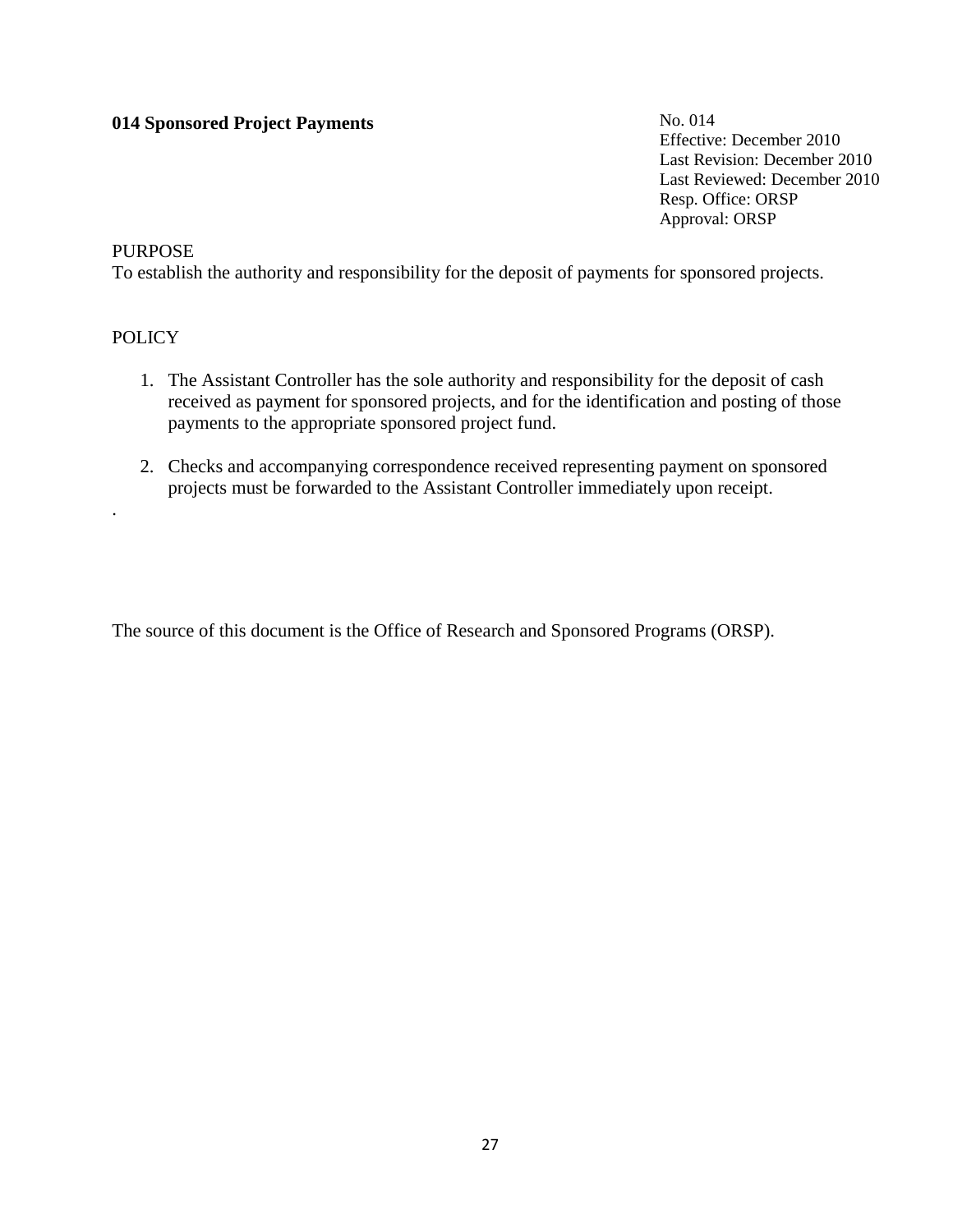# **014 Sponsored Project Payments**

No. 014 Effective: December 2010 Last Revision: December 2010 Last Reviewed: December 2010 Resp. Office: ORSP Approval: ORSP

### **PURPOSE**

To establish the authority and responsibility for the deposit of payments for sponsored projects.

### **POLICY**

.

- 1. The Assistant Controller has the sole authority and responsibility for the deposit of cash received as payment for sponsored projects, and for the identification and posting of those payments to the appropriate sponsored project fund.
- 2. Checks and accompanying correspondence received representing payment on sponsored projects must be forwarded to the Assistant Controller immediately upon receipt.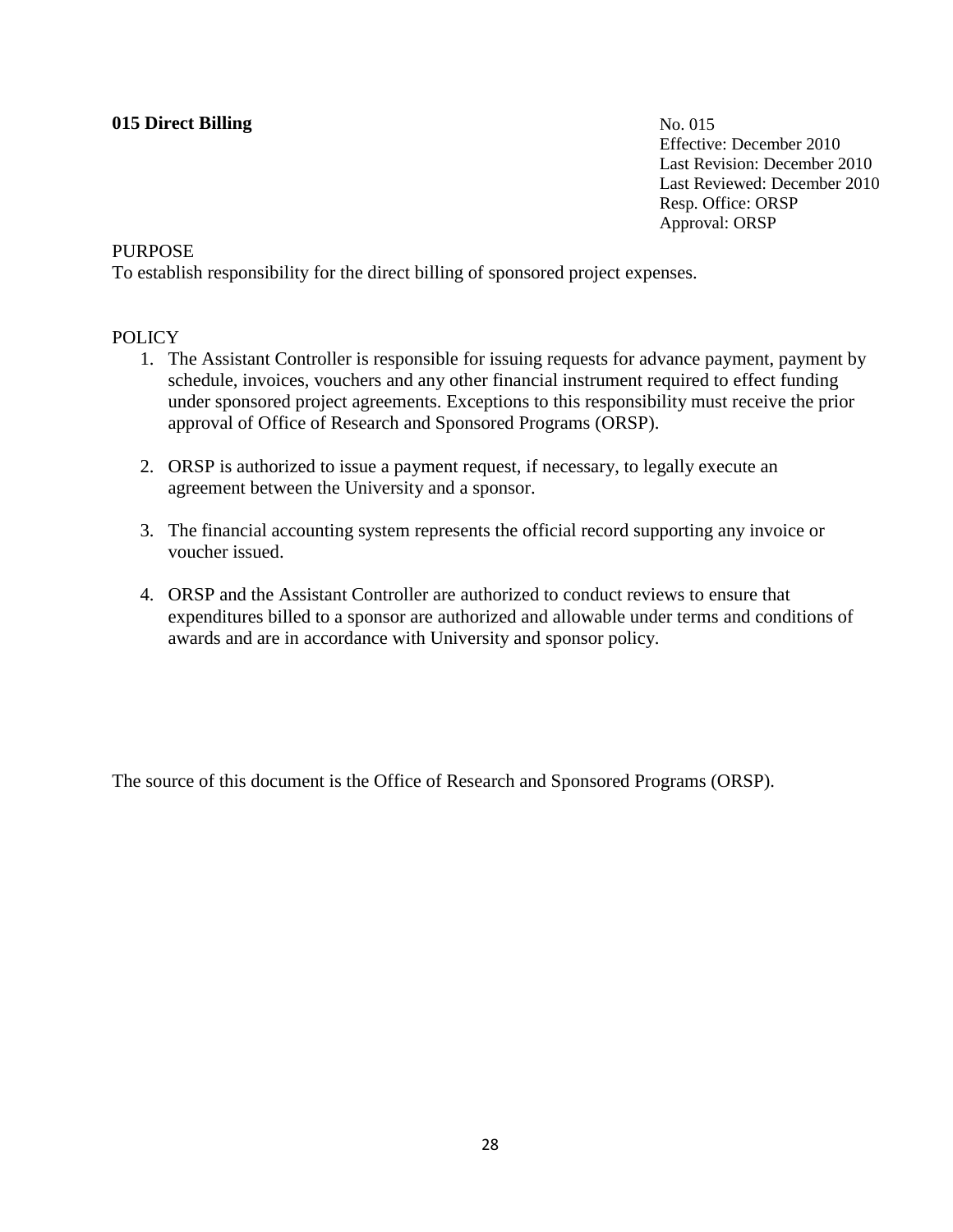# **015 Direct Billing**

No. 015 Effective: December 2010 Last Revision: December 2010 Last Reviewed: December 2010 Resp. Office: ORSP Approval: ORSP

#### **PURPOSE**

To establish responsibility for the direct billing of sponsored project expenses.

#### POLICY

- 1. The Assistant Controller is responsible for issuing requests for advance payment, payment by schedule, invoices, vouchers and any other financial instrument required to effect funding under sponsored project agreements. Exceptions to this responsibility must receive the prior approval of Office of Research and Sponsored Programs (ORSP).
- 2. ORSP is authorized to issue a payment request, if necessary, to legally execute an agreement between the University and a sponsor.
- 3. The financial accounting system represents the official record supporting any invoice or voucher issued.
- 4. ORSP and the Assistant Controller are authorized to conduct reviews to ensure that expenditures billed to a sponsor are authorized and allowable under terms and conditions of awards and are in accordance with University and sponsor policy.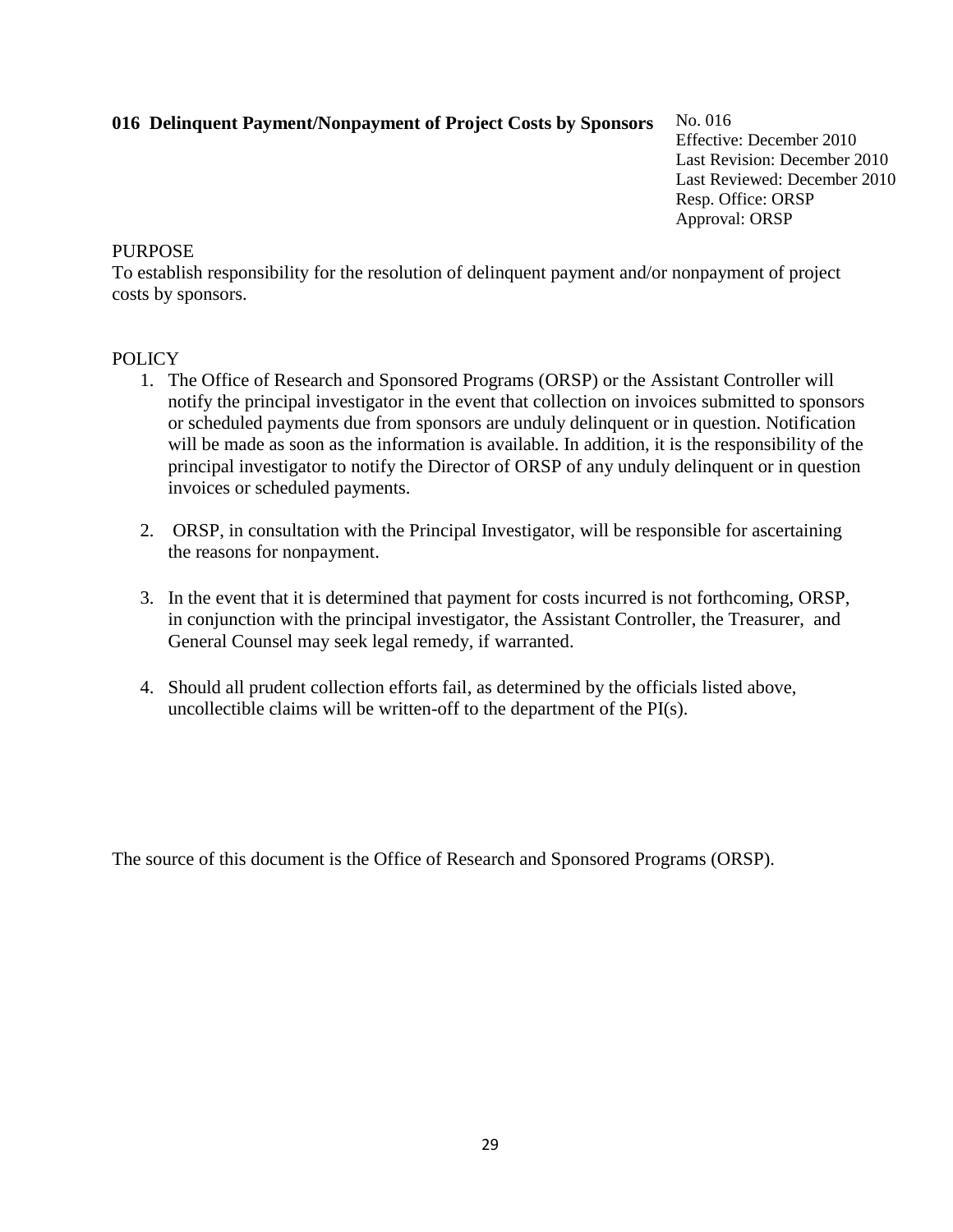# **016 Delinquent Payment/Nonpayment of Project Costs by Sponsors**

No. 016 Effective: December 2010 Last Revision: December 2010 Last Reviewed: December 2010 Resp. Office: ORSP Approval: ORSP

### **PURPOSE**

To establish responsibility for the resolution of delinquent payment and/or nonpayment of project costs by sponsors.

### **POLICY**

- 1. The Office of Research and Sponsored Programs (ORSP) or the Assistant Controller will notify the principal investigator in the event that collection on invoices submitted to sponsors or scheduled payments due from sponsors are unduly delinquent or in question. Notification will be made as soon as the information is available. In addition, it is the responsibility of the principal investigator to notify the Director of ORSP of any unduly delinquent or in question invoices or scheduled payments.
- 2. ORSP, in consultation with the Principal Investigator, will be responsible for ascertaining the reasons for nonpayment.
- 3. In the event that it is determined that payment for costs incurred is not forthcoming, ORSP, in conjunction with the principal investigator, the Assistant Controller, the Treasurer, and General Counsel may seek legal remedy, if warranted.
- 4. Should all prudent collection efforts fail, as determined by the officials listed above, uncollectible claims will be written-off to the department of the PI(s).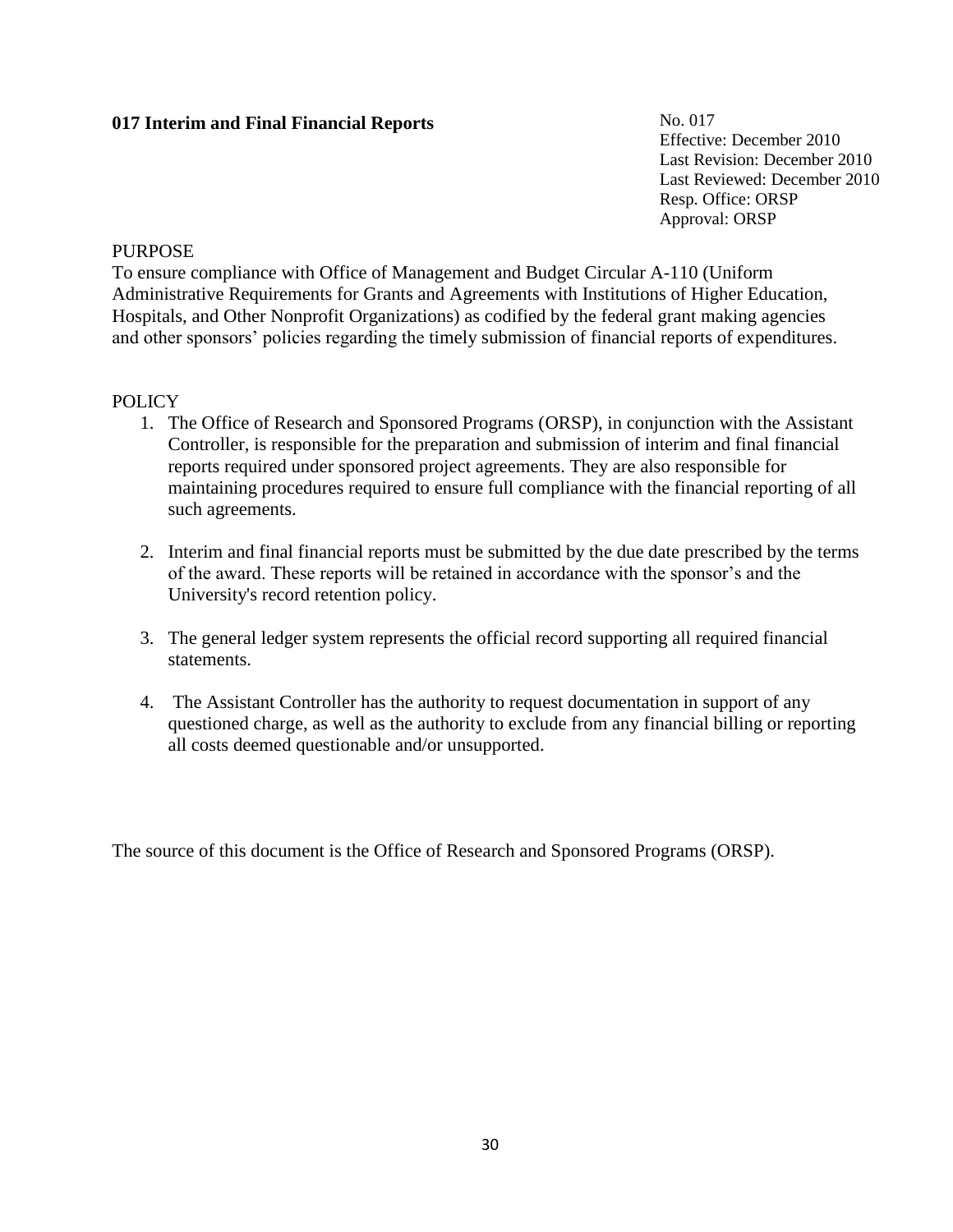# **017 Interim and Final Financial Reports**

No. 017 Effective: December 2010 Last Revision: December 2010 Last Reviewed: December 2010 Resp. Office: ORSP Approval: ORSP

### **PURPOSE**

To ensure compliance with Office of Management and Budget Circular A-110 (Uniform Administrative Requirements for Grants and Agreements with Institutions of Higher Education, Hospitals, and Other Nonprofit Organizations) as codified by the federal grant making agencies and other sponsors' policies regarding the timely submission of financial reports of expenditures.

# **POLICY**

- 1. The Office of Research and Sponsored Programs (ORSP), in conjunction with the Assistant Controller, is responsible for the preparation and submission of interim and final financial reports required under sponsored project agreements. They are also responsible for maintaining procedures required to ensure full compliance with the financial reporting of all such agreements.
- 2. Interim and final financial reports must be submitted by the due date prescribed by the terms of the award. These reports will be retained in accordance with the sponsor's and the University's record retention policy.
- 3. The general ledger system represents the official record supporting all required financial statements.
- 4. The Assistant Controller has the authority to request documentation in support of any questioned charge, as well as the authority to exclude from any financial billing or reporting all costs deemed questionable and/or unsupported.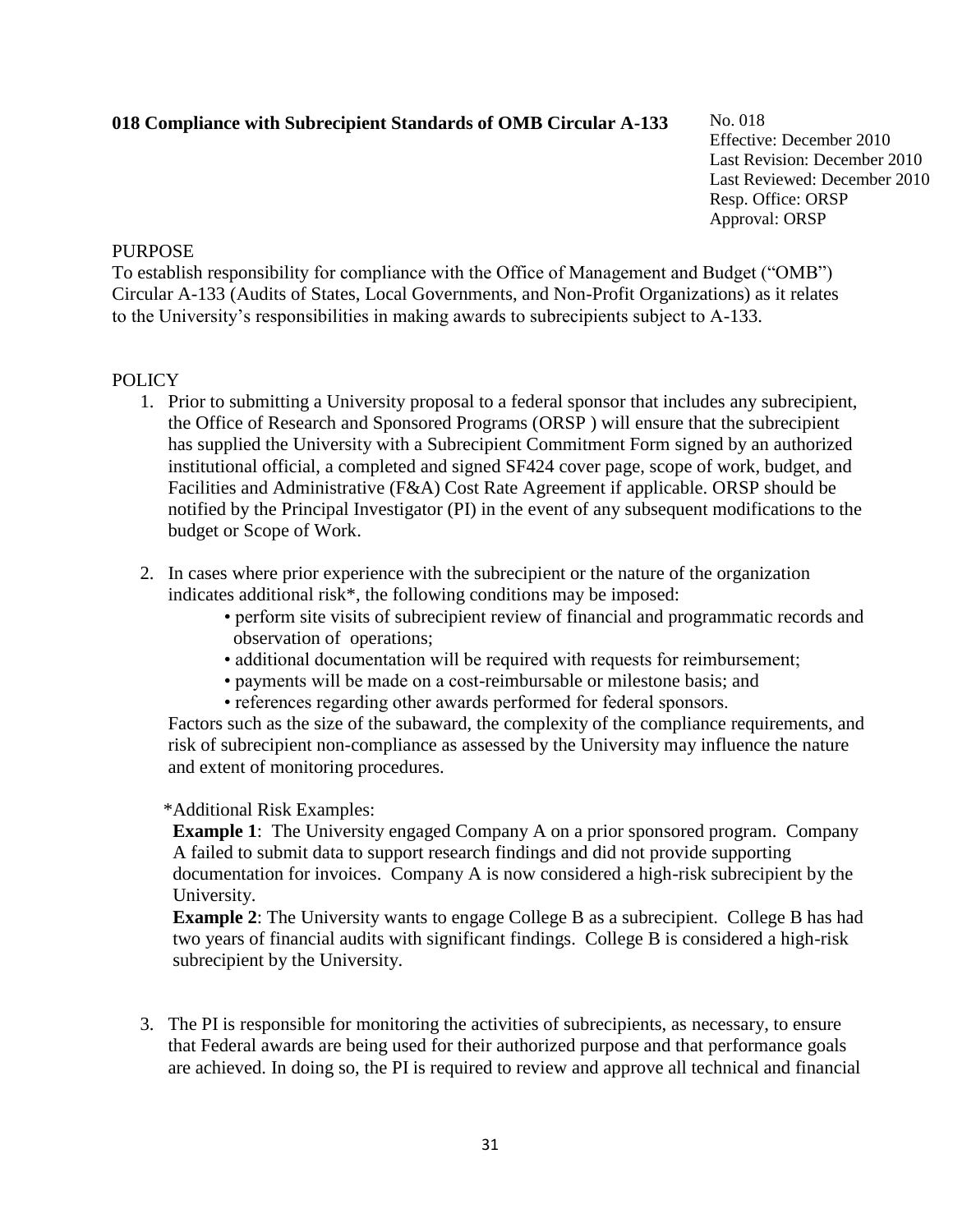# **018 Compliance with Subrecipient Standards of OMB Circular A-133**

No. 018 Effective: December 2010 Last Revision: December 2010 Last Reviewed: December 2010 Resp. Office: ORSP Approval: ORSP

#### **PURPOSE**

To establish responsibility for compliance with the Office of Management and Budget ("OMB") Circular A-133 (Audits of States, Local Governments, and Non-Profit Organizations) as it relates to the University's responsibilities in making awards to subrecipients subject to A-133.

#### **POLICY**

- 1. Prior to submitting a University proposal to a federal sponsor that includes any subrecipient, the Office of Research and Sponsored Programs (ORSP ) will ensure that the subrecipient has supplied the University with a Subrecipient Commitment Form signed by an authorized institutional official, a completed and signed SF424 cover page, scope of work, budget, and Facilities and Administrative (F&A) Cost Rate Agreement if applicable. ORSP should be notified by the Principal Investigator (PI) in the event of any subsequent modifications to the budget or Scope of Work.
- 2. In cases where prior experience with the subrecipient or the nature of the organization indicates additional risk\*, the following conditions may be imposed:
	- perform site visits of subrecipient review of financial and programmatic records and observation of operations;
	- additional documentation will be required with requests for reimbursement;
	- payments will be made on a cost-reimbursable or milestone basis; and
	- references regarding other awards performed for federal sponsors.

Factors such as the size of the subaward, the complexity of the compliance requirements, and risk of subrecipient non-compliance as assessed by the University may influence the nature and extent of monitoring procedures.

#### \*Additional Risk Examples:

**Example 1:** The University engaged Company A on a prior sponsored program. Company A failed to submit data to support research findings and did not provide supporting documentation for invoices. Company A is now considered a high-risk subrecipient by the University.

**Example 2**: The University wants to engage College B as a subrecipient. College B has had two years of financial audits with significant findings. College B is considered a high-risk subrecipient by the University.

3. The PI is responsible for monitoring the activities of subrecipients, as necessary, to ensure that Federal awards are being used for their authorized purpose and that performance goals are achieved. In doing so, the PI is required to review and approve all technical and financial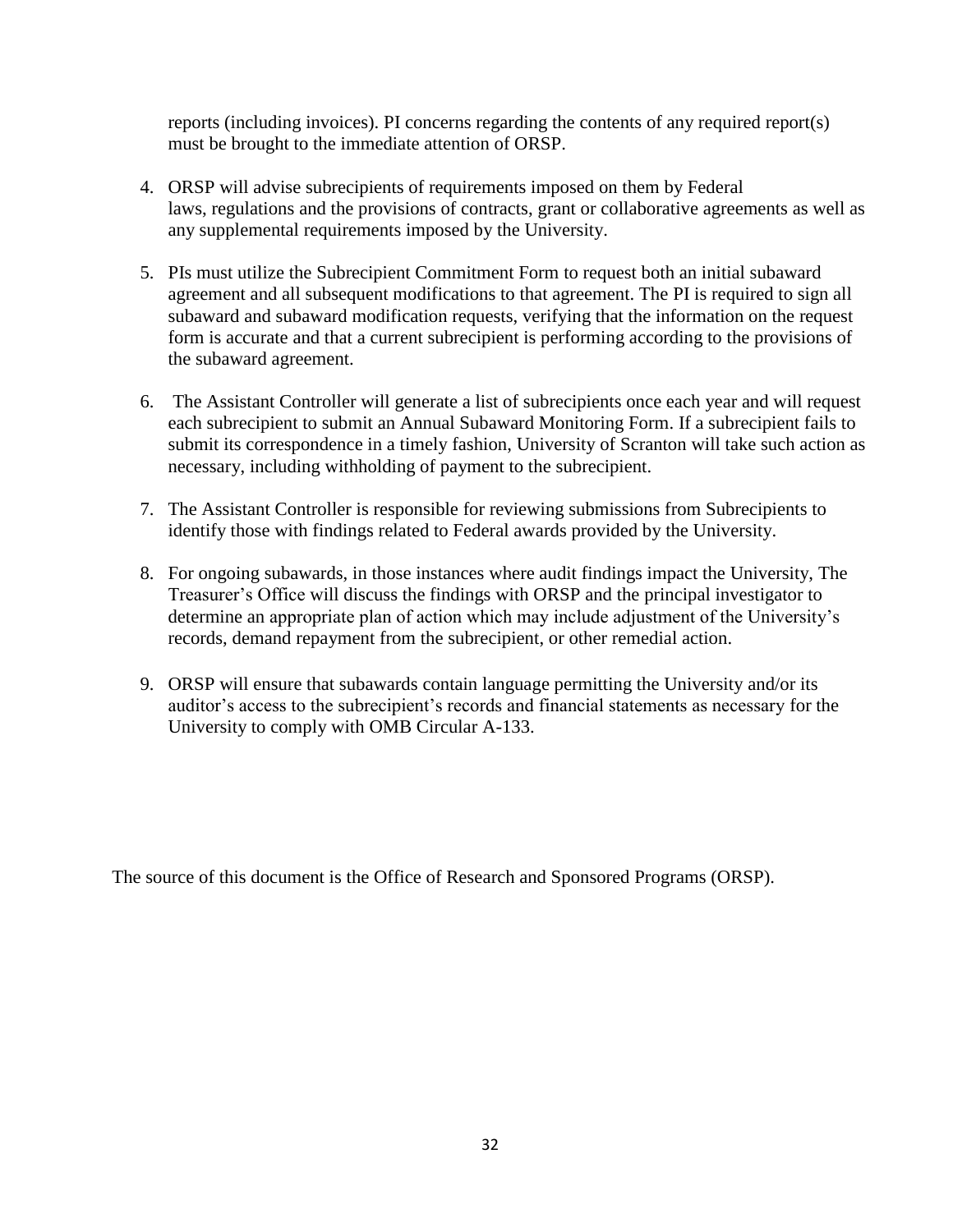reports (including invoices). PI concerns regarding the contents of any required report(s) must be brought to the immediate attention of ORSP.

- 4. ORSP will advise subrecipients of requirements imposed on them by Federal laws, regulations and the provisions of contracts, grant or collaborative agreements as well as any supplemental requirements imposed by the University.
- 5. PIs must utilize the Subrecipient Commitment Form to request both an initial subaward agreement and all subsequent modifications to that agreement. The PI is required to sign all subaward and subaward modification requests, verifying that the information on the request form is accurate and that a current subrecipient is performing according to the provisions of the subaward agreement.
- 6. The Assistant Controller will generate a list of subrecipients once each year and will request each subrecipient to submit an Annual Subaward Monitoring Form. If a subrecipient fails to submit its correspondence in a timely fashion, University of Scranton will take such action as necessary, including withholding of payment to the subrecipient.
- 7. The Assistant Controller is responsible for reviewing submissions from Subrecipients to identify those with findings related to Federal awards provided by the University.
- 8. For ongoing subawards, in those instances where audit findings impact the University, The Treasurer's Office will discuss the findings with ORSP and the principal investigator to determine an appropriate plan of action which may include adjustment of the University's records, demand repayment from the subrecipient, or other remedial action.
- 9. ORSP will ensure that subawards contain language permitting the University and/or its auditor's access to the subrecipient's records and financial statements as necessary for the University to comply with OMB Circular A-133.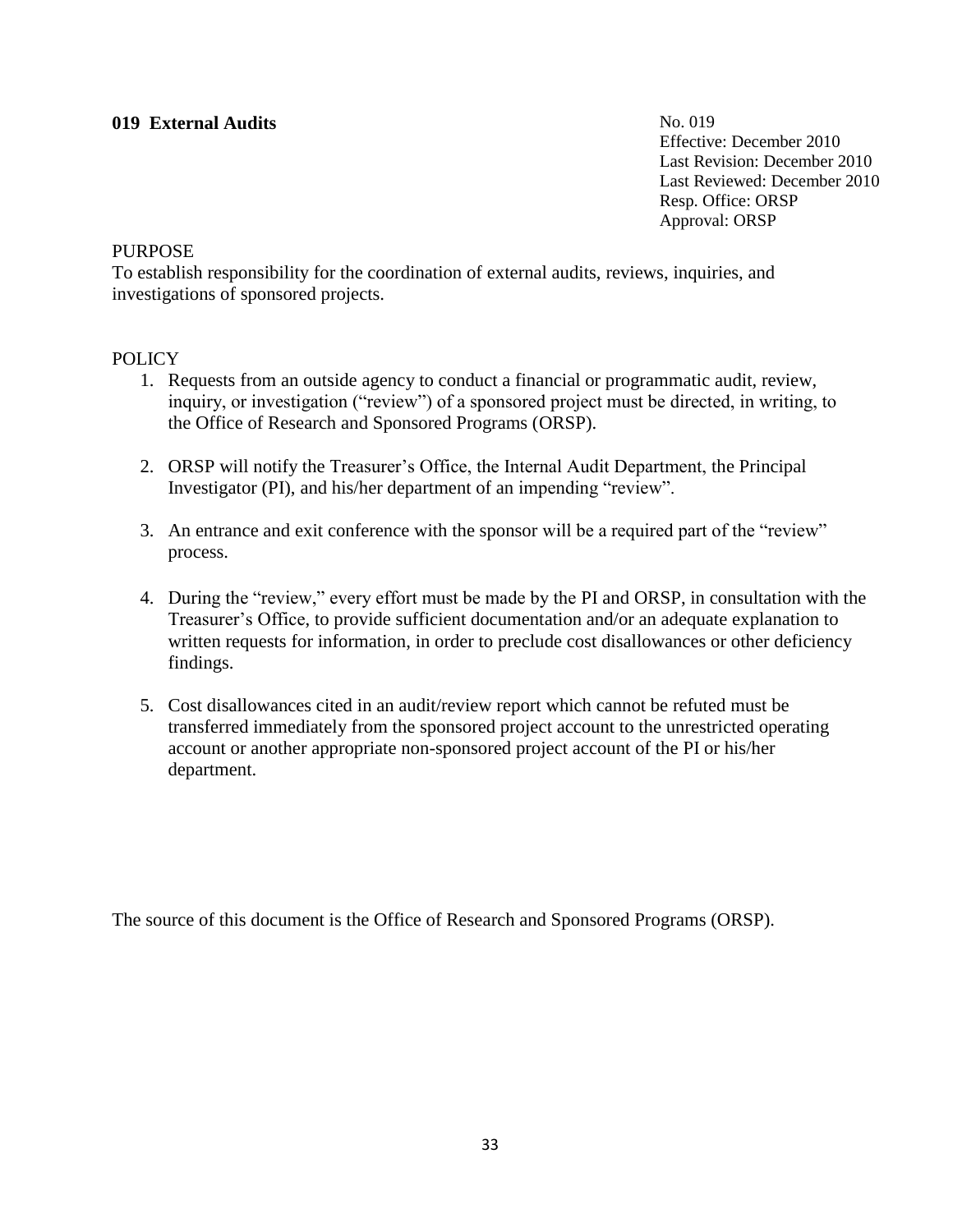# **019 External Audits**

No. 019 Effective: December 2010 Last Revision: December 2010 Last Reviewed: December 2010 Resp. Office: ORSP Approval: ORSP

#### **PURPOSE**

To establish responsibility for the coordination of external audits, reviews, inquiries, and investigations of sponsored projects.

### **POLICY**

- 1. Requests from an outside agency to conduct a financial or programmatic audit, review, inquiry, or investigation ("review") of a sponsored project must be directed, in writing, to the Office of Research and Sponsored Programs (ORSP).
- 2. ORSP will notify the Treasurer's Office, the Internal Audit Department, the Principal Investigator (PI), and his/her department of an impending "review".
- 3. An entrance and exit conference with the sponsor will be a required part of the "review" process.
- 4. During the "review," every effort must be made by the PI and ORSP, in consultation with the Treasurer's Office, to provide sufficient documentation and/or an adequate explanation to written requests for information, in order to preclude cost disallowances or other deficiency findings.
- 5. Cost disallowances cited in an audit/review report which cannot be refuted must be transferred immediately from the sponsored project account to the unrestricted operating account or another appropriate non-sponsored project account of the PI or his/her department.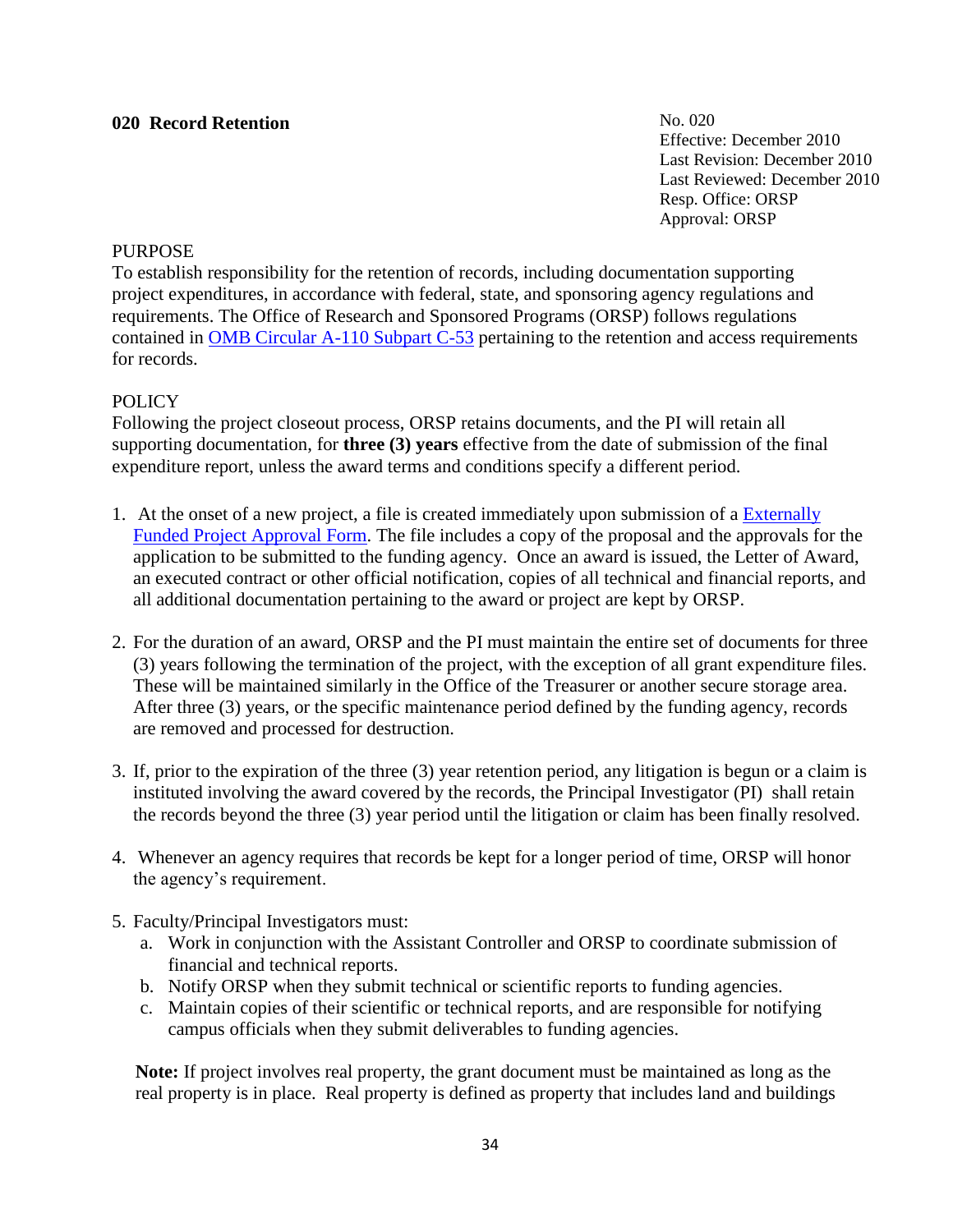# **020 Record Retention**

No. 020 Effective: December 2010 Last Revision: December 2010 Last Reviewed: December 2010 Resp. Office: ORSP Approval: ORSP

#### **PURPOSE**

To establish responsibility for the retention of records, including documentation supporting project expenditures, in accordance with federal, state, and sponsoring agency regulations and requirements. The Office of Research and Sponsored Programs (ORSP) follows regulations contained in [OMB Circular A-110 Subpart C-53](http://www.whitehouse.gov/omb/circulars_a110) pertaining to the retention and access requirements for records.

### **POLICY**

Following the project closeout process, ORSP retains documents, and the PI will retain all supporting documentation, for **three (3) years** effective from the date of submission of the final expenditure report, unless the award terms and conditions specify a different period.

- 1. At the onset of a new project, a file is created immediately upon submission of a [Externally](http://matrix.scranton.edu/academics/provost/research/documents/efpa2012.doc)  [Funded Project Approval Form.](http://matrix.scranton.edu/academics/provost/research/documents/efpa2012.doc) The file includes a copy of the proposal and the approvals for the application to be submitted to the funding agency. Once an award is issued, the Letter of Award, an executed contract or other official notification, copies of all technical and financial reports, and all additional documentation pertaining to the award or project are kept by ORSP.
- 2. For the duration of an award, ORSP and the PI must maintain the entire set of documents for three (3) years following the termination of the project, with the exception of all grant expenditure files. These will be maintained similarly in the Office of the Treasurer or another secure storage area. After three (3) years, or the specific maintenance period defined by the funding agency, records are removed and processed for destruction.
- 3. If, prior to the expiration of the three (3) year retention period, any litigation is begun or a claim is instituted involving the award covered by the records, the Principal Investigator (PI) shall retain the records beyond the three (3) year period until the litigation or claim has been finally resolved.
- 4. Whenever an agency requires that records be kept for a longer period of time, ORSP will honor the agency's requirement.
- 5. Faculty/Principal Investigators must:
	- a. Work in conjunction with the Assistant Controller and ORSP to coordinate submission of financial and technical reports.
	- b. Notify ORSP when they submit technical or scientific reports to funding agencies.
	- c. Maintain copies of their scientific or technical reports, and are responsible for notifying campus officials when they submit deliverables to funding agencies.

 **Note:** If project involves real property, the grant document must be maintained as long as the real property is in place. Real property is defined as property that includes land and buildings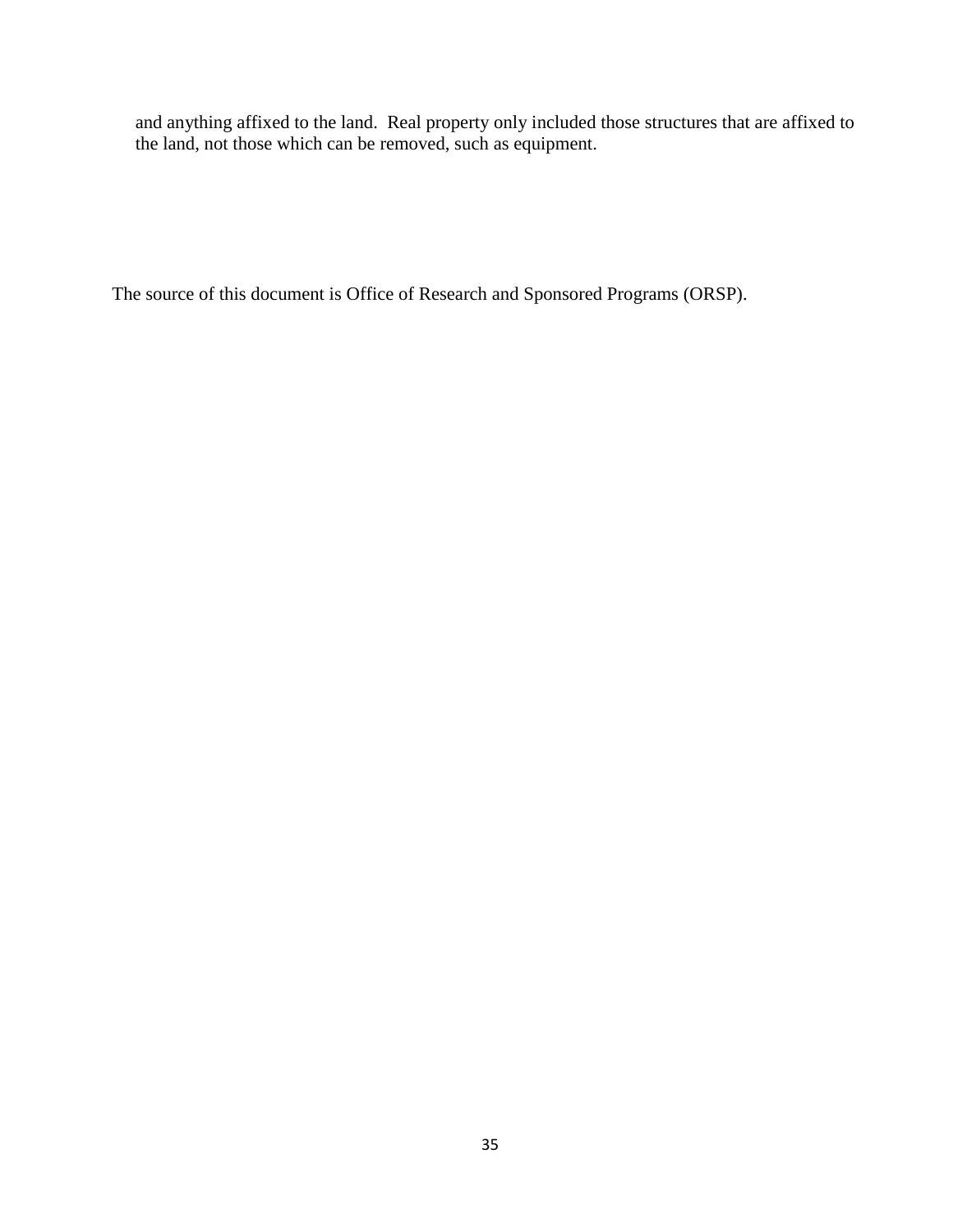and anything affixed to the land. Real property only included those structures that are affixed to the land, not those which can be removed, such as equipment.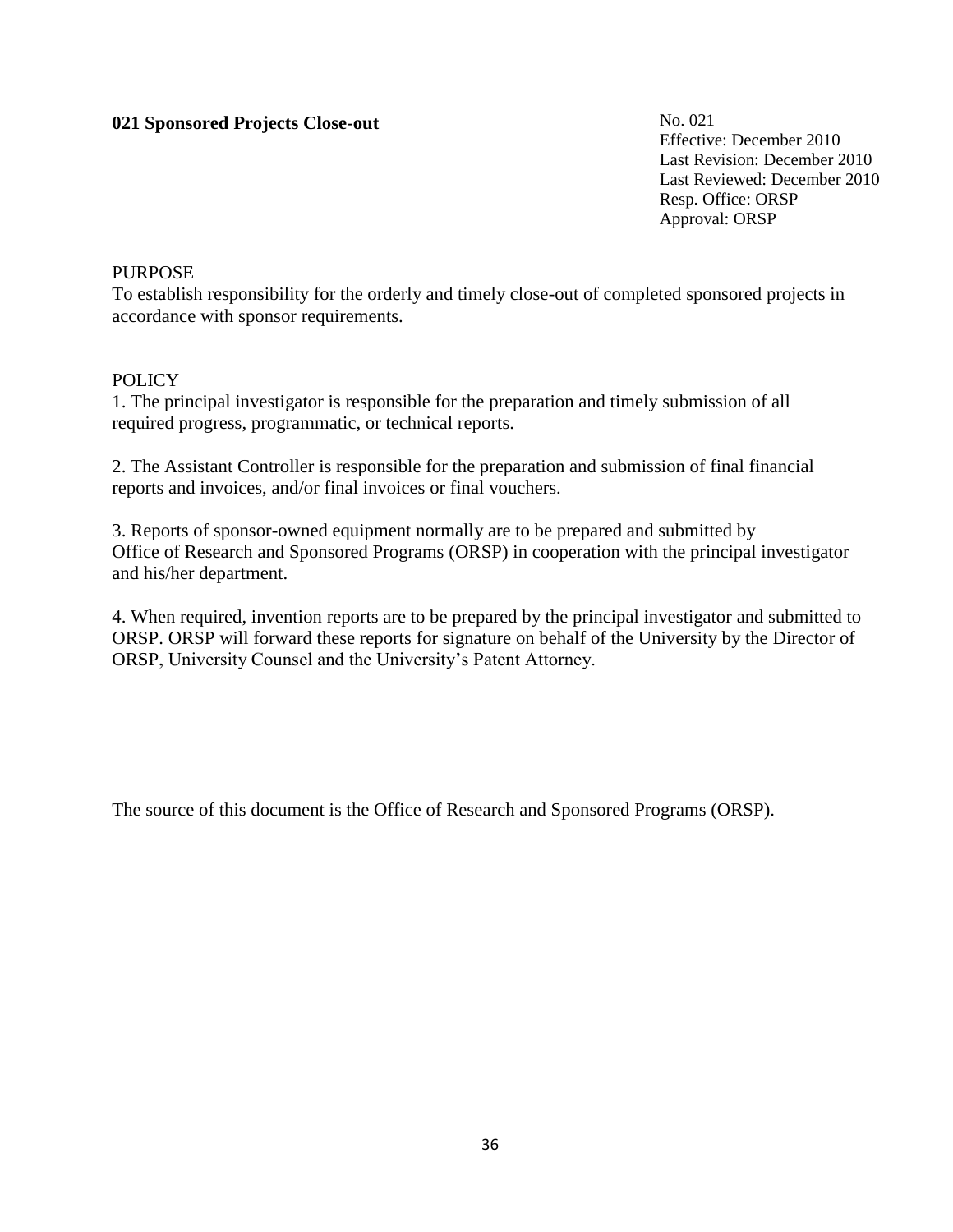# **021 Sponsored Projects Close-out**

No. 021 Effective: December 2010 Last Revision: December 2010 Last Reviewed: December 2010 Resp. Office: ORSP Approval: ORSP

#### PURPOSE

To establish responsibility for the orderly and timely close-out of completed sponsored projects in accordance with sponsor requirements.

#### **POLICY**

1. The principal investigator is responsible for the preparation and timely submission of all required progress, programmatic, or technical reports.

2. The Assistant Controller is responsible for the preparation and submission of final financial reports and invoices, and/or final invoices or final vouchers.

3. Reports of sponsor-owned equipment normally are to be prepared and submitted by Office of Research and Sponsored Programs (ORSP) in cooperation with the principal investigator and his/her department.

4. When required, invention reports are to be prepared by the principal investigator and submitted to ORSP. ORSP will forward these reports for signature on behalf of the University by the Director of ORSP, University Counsel and the University's Patent Attorney.